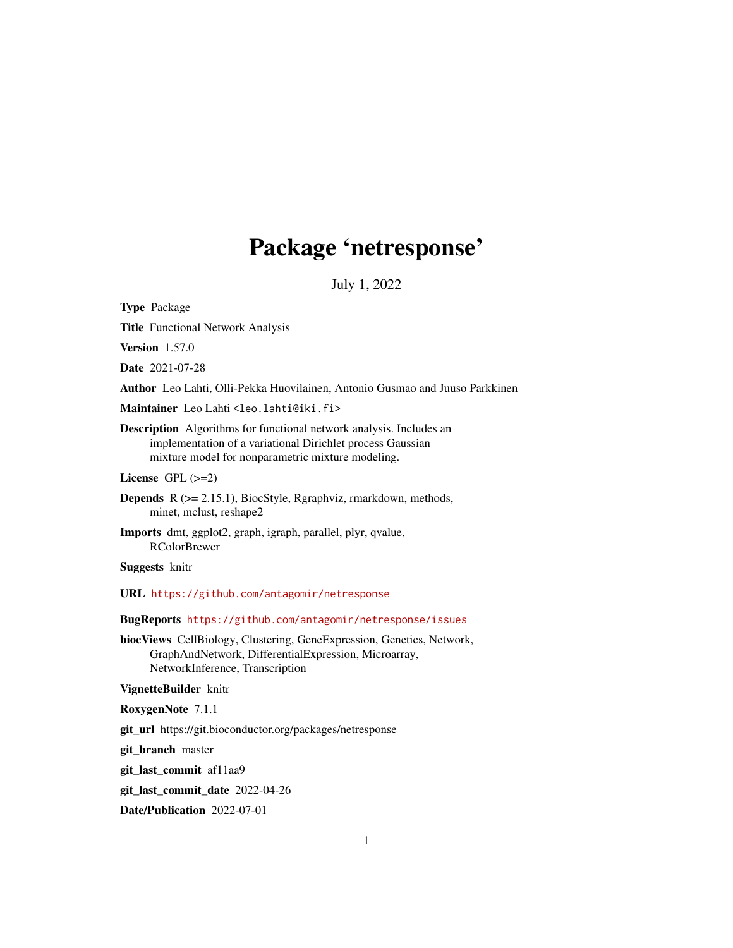# Package 'netresponse'

July 1, 2022

Type Package

Title Functional Network Analysis

Version 1.57.0

Date 2021-07-28

Author Leo Lahti, Olli-Pekka Huovilainen, Antonio Gusmao and Juuso Parkkinen

Maintainer Leo Lahti <leo.lahti@iki.fi>

Description Algorithms for functional network analysis. Includes an implementation of a variational Dirichlet process Gaussian mixture model for nonparametric mixture modeling.

License GPL (>=2)

Depends R (>= 2.15.1), BiocStyle, Rgraphviz, rmarkdown, methods, minet, mclust, reshape2

Imports dmt, ggplot2, graph, igraph, parallel, plyr, qvalue, RColorBrewer

Suggests knitr

URL <https://github.com/antagomir/netresponse>

BugReports <https://github.com/antagomir/netresponse/issues>

biocViews CellBiology, Clustering, GeneExpression, Genetics, Network, GraphAndNetwork, DifferentialExpression, Microarray, NetworkInference, Transcription

VignetteBuilder knitr

RoxygenNote 7.1.1

git\_url https://git.bioconductor.org/packages/netresponse

git\_branch master

git\_last\_commit af11aa9

git\_last\_commit\_date 2022-04-26

Date/Publication 2022-07-01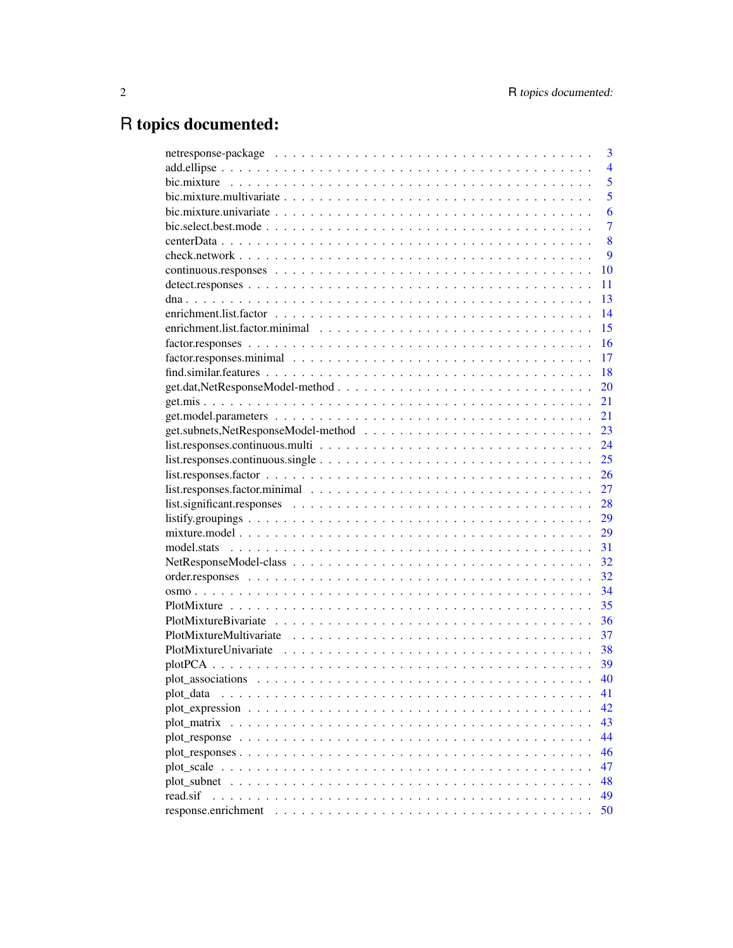# R topics documented:

|                                                                                                                         | 3              |
|-------------------------------------------------------------------------------------------------------------------------|----------------|
|                                                                                                                         | $\overline{4}$ |
|                                                                                                                         | 5              |
|                                                                                                                         | 5              |
|                                                                                                                         | 6              |
|                                                                                                                         | $\overline{7}$ |
|                                                                                                                         | 8              |
|                                                                                                                         | 9              |
|                                                                                                                         | 10             |
|                                                                                                                         | 11             |
|                                                                                                                         | 13             |
|                                                                                                                         | 14             |
|                                                                                                                         | 15             |
|                                                                                                                         | 16             |
|                                                                                                                         | 17             |
|                                                                                                                         | 18             |
|                                                                                                                         | 20             |
|                                                                                                                         | 21             |
|                                                                                                                         | 21             |
|                                                                                                                         | 23             |
|                                                                                                                         | 24             |
|                                                                                                                         | 25             |
| $list$ : responses. factor $\ldots \ldots \ldots \ldots \ldots \ldots \ldots \ldots \ldots \ldots \ldots \ldots \ldots$ | 26             |
|                                                                                                                         | 27             |
| $list. significant. responses \dots \dots \dots \dots \dots \dots \dots \dots \dots \dots \dots \dots \dots \dots$      | 28             |
|                                                                                                                         | 29             |
|                                                                                                                         | 29             |
|                                                                                                                         | 31             |
|                                                                                                                         | 32             |
|                                                                                                                         | 32             |
|                                                                                                                         | 34             |
|                                                                                                                         | 35             |
|                                                                                                                         | 36             |
|                                                                                                                         | 37             |
|                                                                                                                         | 38             |
|                                                                                                                         | 39             |
|                                                                                                                         | 40             |
| plot_data                                                                                                               | 41             |
|                                                                                                                         | 42             |
| plot_matrix                                                                                                             | 43             |
|                                                                                                                         | 44             |
|                                                                                                                         | 46             |
|                                                                                                                         | 47             |
|                                                                                                                         | 48             |
| read.sif                                                                                                                |                |
|                                                                                                                         | 49             |
| response.enrichment                                                                                                     | 50             |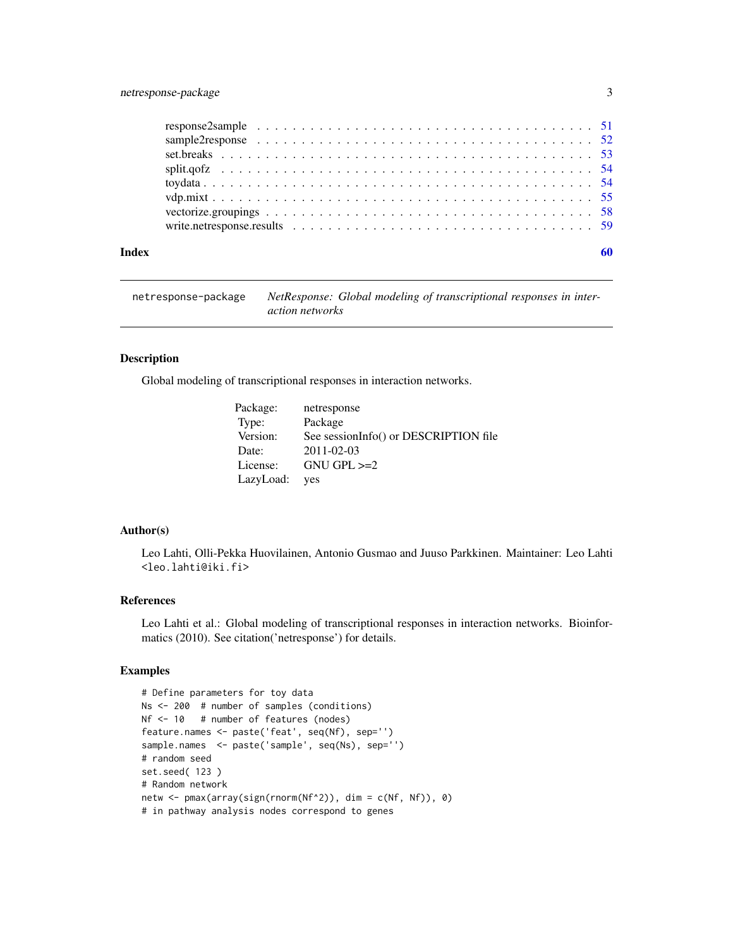### <span id="page-2-0"></span>netresponse-package 3

#### $\blacksquare$  Index  $\blacksquare$

netresponse-package *NetResponse: Global modeling of transcriptional responses in interaction networks*

### Description

Global modeling of transcriptional responses in interaction networks.

| Package:  | netresponse                           |
|-----------|---------------------------------------|
| Type:     | Package                               |
| Version:  | See sessionInfo() or DESCRIPTION file |
| Date:     | 2011-02-03                            |
| License:  | $GNU$ $GPL \geq 2$                    |
| LazyLoad: | yes                                   |

#### Author(s)

Leo Lahti, Olli-Pekka Huovilainen, Antonio Gusmao and Juuso Parkkinen. Maintainer: Leo Lahti <leo.lahti@iki.fi>

### References

Leo Lahti et al.: Global modeling of transcriptional responses in interaction networks. Bioinformatics (2010). See citation('netresponse') for details.

#### Examples

```
# Define parameters for toy data
Ns <- 200 # number of samples (conditions)
Nf <- 10 # number of features (nodes)
feature.names <- paste('feat', seq(Nf), sep='')
sample.names <- paste('sample', seq(Ns), sep='')
# random seed
set.seed( 123 )
# Random network
netw <- pmax(array(sign(rnorm(Nf^2)), dim = c(Nf, Nf)), 0)
# in pathway analysis nodes correspond to genes
```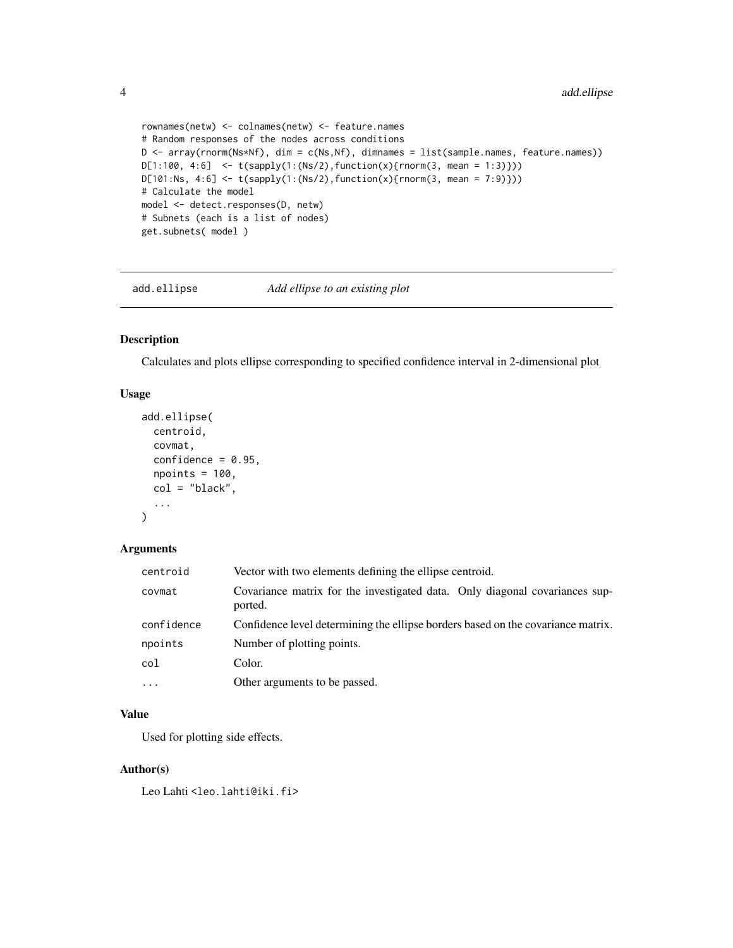```
rownames(netw) <- colnames(netw) <- feature.names
# Random responses of the nodes across conditions
D <- array(rnorm(Ns*Nf), dim = c(Ns,Nf), dimnames = list(sample.names, feature.names))
D[1:100, 4:6] <- t(sapply(1:(Ns/2), function(x){rnorm(3, mean = 1:3)}))
D[101:Ns, 4:6] <- t(sapply(1:(Ns/2), function(x){rnorm(3, mean = 7:9)}))
# Calculate the model
model <- detect.responses(D, netw)
# Subnets (each is a list of nodes)
get.subnets( model )
```
add.ellipse *Add ellipse to an existing plot*

### Description

Calculates and plots ellipse corresponding to specified confidence interval in 2-dimensional plot

#### Usage

```
add.ellipse(
 centroid,
  covmat,
  confidence = 0.95,
  npoints = 100,col = "black",...
)
```
#### Arguments

| centroid   | Vector with two elements defining the ellipse centroid.                                |
|------------|----------------------------------------------------------------------------------------|
| covmat     | Covariance matrix for the investigated data. Only diagonal covariances sup-<br>ported. |
| confidence | Confidence level determining the ellipse borders based on the covariance matrix.       |
| npoints    | Number of plotting points.                                                             |
| col        | Color.                                                                                 |
| $\ddots$ . | Other arguments to be passed.                                                          |

#### Value

Used for plotting side effects.

### Author(s)

Leo Lahti<br/> <a>
Leo.lahti@iki.fi>

<span id="page-3-0"></span>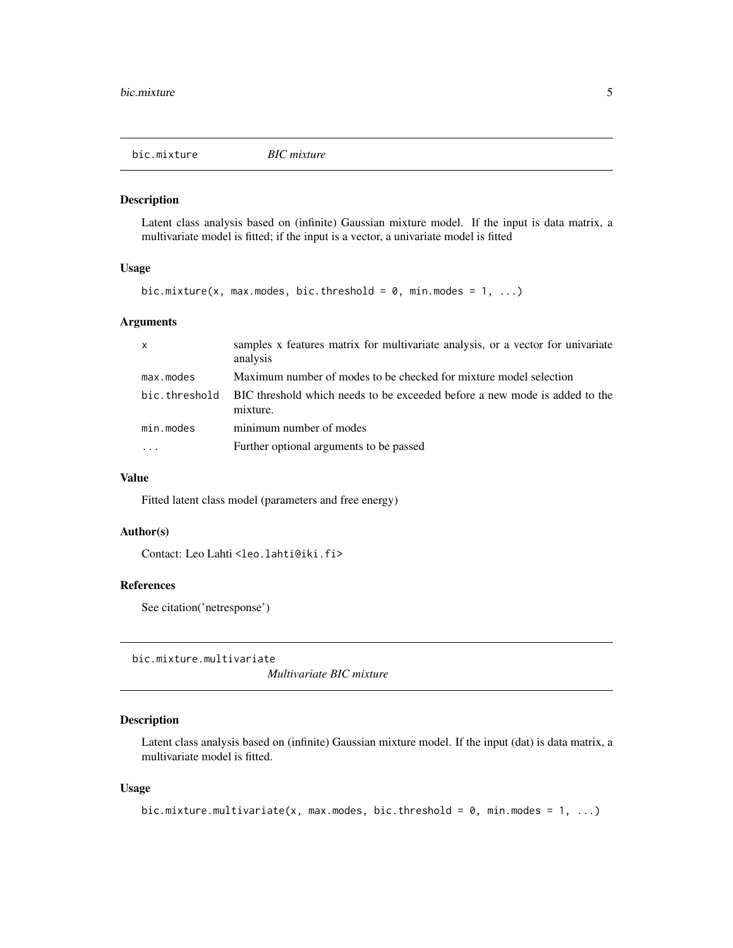<span id="page-4-0"></span>

#### Description

Latent class analysis based on (infinite) Gaussian mixture model. If the input is data matrix, a multivariate model is fitted; if the input is a vector, a univariate model is fitted

#### Usage

```
bic.mixture(x, max.modes, bic.threshold = 0, min.modes = 1, ...)
```
### Arguments

| $\mathsf{x}$  | samples x features matrix for multivariate analysis, or a vector for univariate<br>analysis |
|---------------|---------------------------------------------------------------------------------------------|
| max.modes     | Maximum number of modes to be checked for mixture model selection                           |
| bic.threshold | BIC threshold which needs to be exceeded before a new mode is added to the<br>mixture.      |
| min.modes     | minimum number of modes                                                                     |
| $\cdots$      | Further optional arguments to be passed                                                     |

#### Value

Fitted latent class model (parameters and free energy)

#### Author(s)

Contact: Leo Lahti<br/>
<br/>
<br/>
Leo Lahti<br/>
Leo.lahti@iki.fi>

### References

See citation('netresponse')

bic.mixture.multivariate

*Multivariate BIC mixture*

### Description

Latent class analysis based on (infinite) Gaussian mixture model. If the input (dat) is data matrix, a multivariate model is fitted.

#### Usage

```
bic.mixture.multivariate(x, max.modes, bic.threshold = 0, min.modes = 1, ...)
```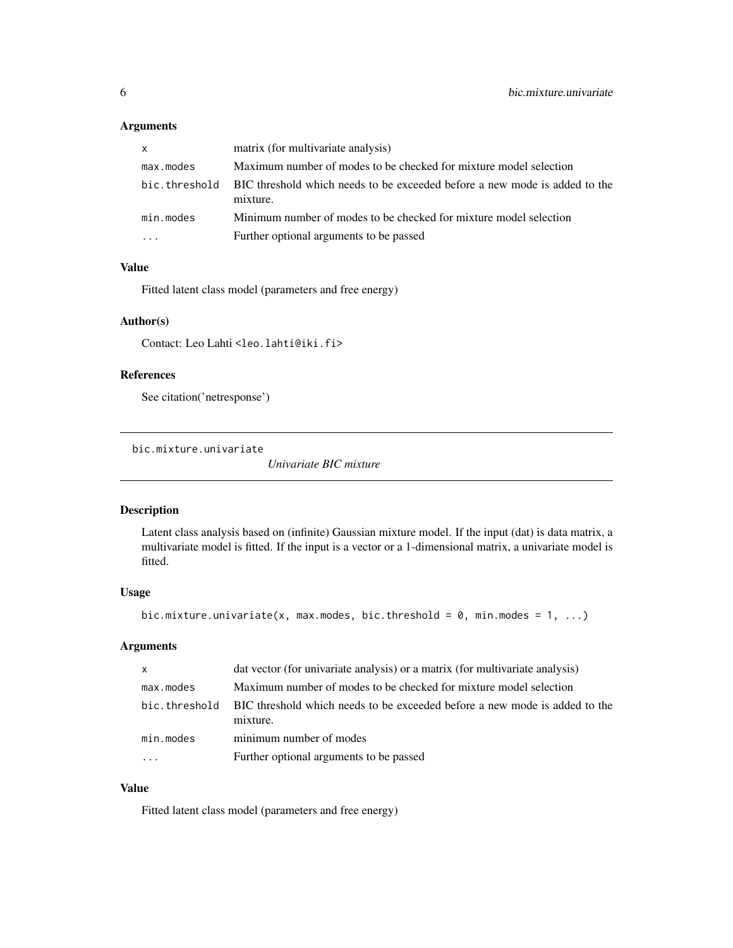### <span id="page-5-0"></span>Arguments

| $\mathsf{x}$  | matrix (for multivariate analysis)                                                     |
|---------------|----------------------------------------------------------------------------------------|
| max.modes     | Maximum number of modes to be checked for mixture model selection                      |
| bic.threshold | BIC threshold which needs to be exceeded before a new mode is added to the<br>mixture. |
| min.modes     | Minimum number of modes to be checked for mixture model selection                      |
|               | Further optional arguments to be passed                                                |

#### Value

Fitted latent class model (parameters and free energy)

### Author(s)

Contact: Leo Lahti <leo.lahti@iki.fi>

### References

See citation('netresponse')

bic.mixture.univariate

*Univariate BIC mixture*

### Description

Latent class analysis based on (infinite) Gaussian mixture model. If the input (dat) is data matrix, a multivariate model is fitted. If the input is a vector or a 1-dimensional matrix, a univariate model is fitted.

### Usage

```
bic.mixture.univariate(x, max.modes, bic.threshold = 0, min.modes = 1, ...)
```
### Arguments

| X             | dat vector (for univariate analysis) or a matrix (for multivariate analysis)           |
|---------------|----------------------------------------------------------------------------------------|
| max.modes     | Maximum number of modes to be checked for mixture model selection                      |
| bic.threshold | BIC threshold which needs to be exceeded before a new mode is added to the<br>mixture. |
| min.modes     | minimum number of modes                                                                |
|               | Further optional arguments to be passed                                                |

### Value

Fitted latent class model (parameters and free energy)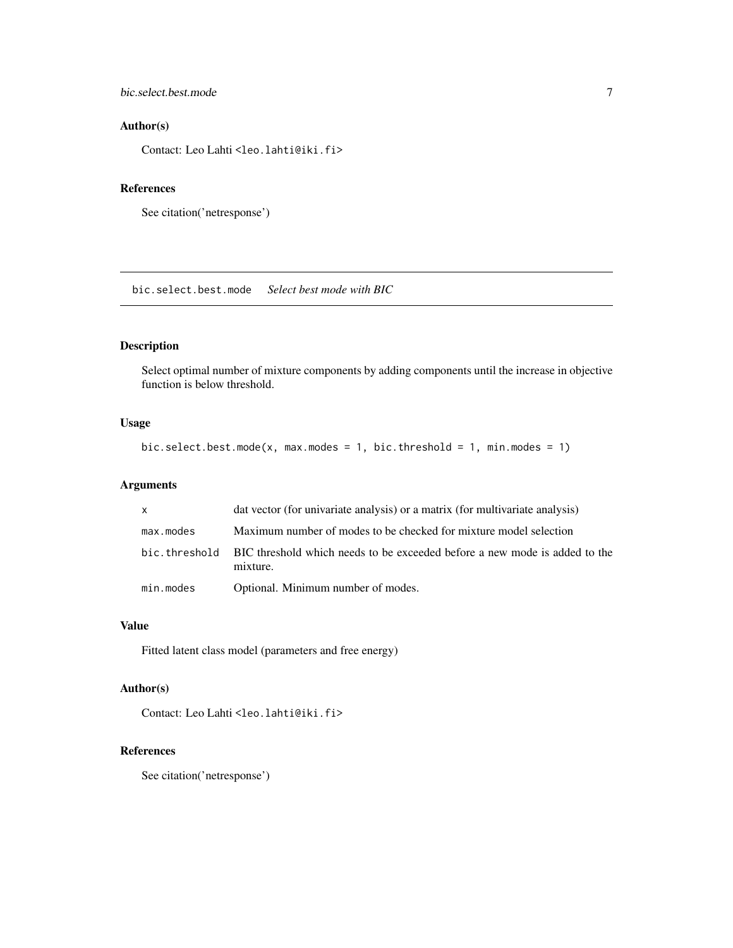### <span id="page-6-0"></span>bic.select.best.mode 7

### Author(s)

Contact: Leo Lahti<br/> <leo.lahti@iki.fi>

### References

```
See citation('netresponse')
```
bic.select.best.mode *Select best mode with BIC*

### Description

Select optimal number of mixture components by adding components until the increase in objective function is below threshold.

### Usage

```
bic.select.best.mode(x, max.modes = 1, bic.threshold = 1, min.modes = 1)
```
### Arguments

| $\mathsf{x}$ | dat vector (for univariate analysis) or a matrix (for multivariate analysis)                          |
|--------------|-------------------------------------------------------------------------------------------------------|
| max.modes    | Maximum number of modes to be checked for mixture model selection                                     |
|              | bic, threshold BIC threshold which needs to be exceeded before a new mode is added to the<br>mixture. |
| min.modes    | Optional. Minimum number of modes.                                                                    |

#### Value

Fitted latent class model (parameters and free energy)

### Author(s)

Contact: Leo Lahti <leo.lahti@iki.fi>

### References

See citation('netresponse')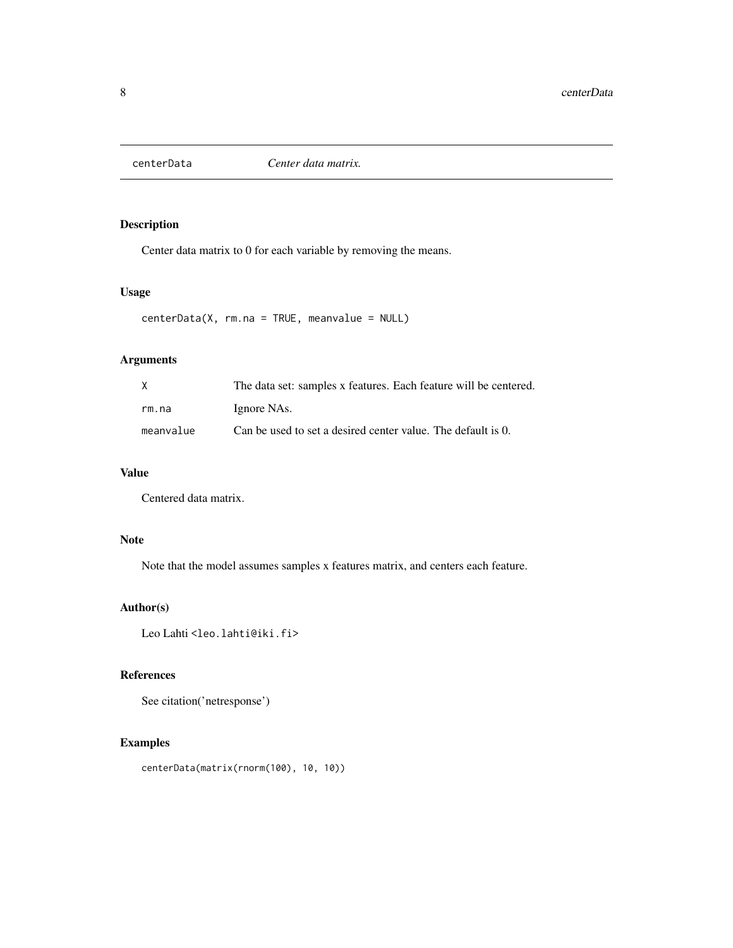<span id="page-7-0"></span>

### Description

Center data matrix to 0 for each variable by removing the means.

### Usage

```
centerData(X, rm.na = TRUE, meanvalue = NULL)
```
### Arguments

| X         | The data set: samples x features. Each feature will be centered. |
|-----------|------------------------------------------------------------------|
| rm.na     | Ignore NAs.                                                      |
| meanvalue | Can be used to set a desired center value. The default is 0.     |

### Value

Centered data matrix.

### Note

Note that the model assumes samples x features matrix, and centers each feature.

### Author(s)

Leo Lahti<br/> <a>
Leo.lahti@iki.fi>

### References

See citation('netresponse')

### Examples

centerData(matrix(rnorm(100), 10, 10))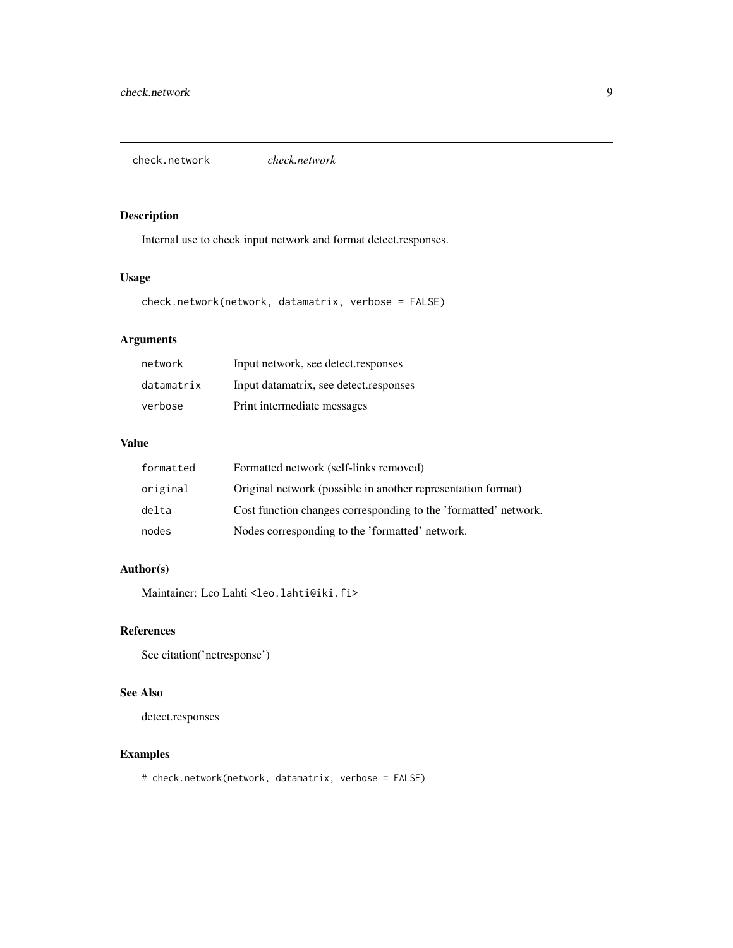<span id="page-8-0"></span>check.network *check.network*

### Description

Internal use to check input network and format detect.responses.

### Usage

check.network(network, datamatrix, verbose = FALSE)

### Arguments

| network    | Input network, see detect.responses    |
|------------|----------------------------------------|
| datamatrix | Input datamatrix, see detect.responses |
| verbose    | Print intermediate messages            |

### Value

| formatted | Formatted network (self-links removed)                          |
|-----------|-----------------------------------------------------------------|
| original  | Original network (possible in another representation format)    |
| delta     | Cost function changes corresponding to the 'formatted' network. |
| nodes     | Nodes corresponding to the 'formatted' network.                 |

### Author(s)

Maintainer: Leo Lahti <leo.lahti@iki.fi>

### References

See citation('netresponse')

### See Also

detect.responses

### Examples

# check.network(network, datamatrix, verbose = FALSE)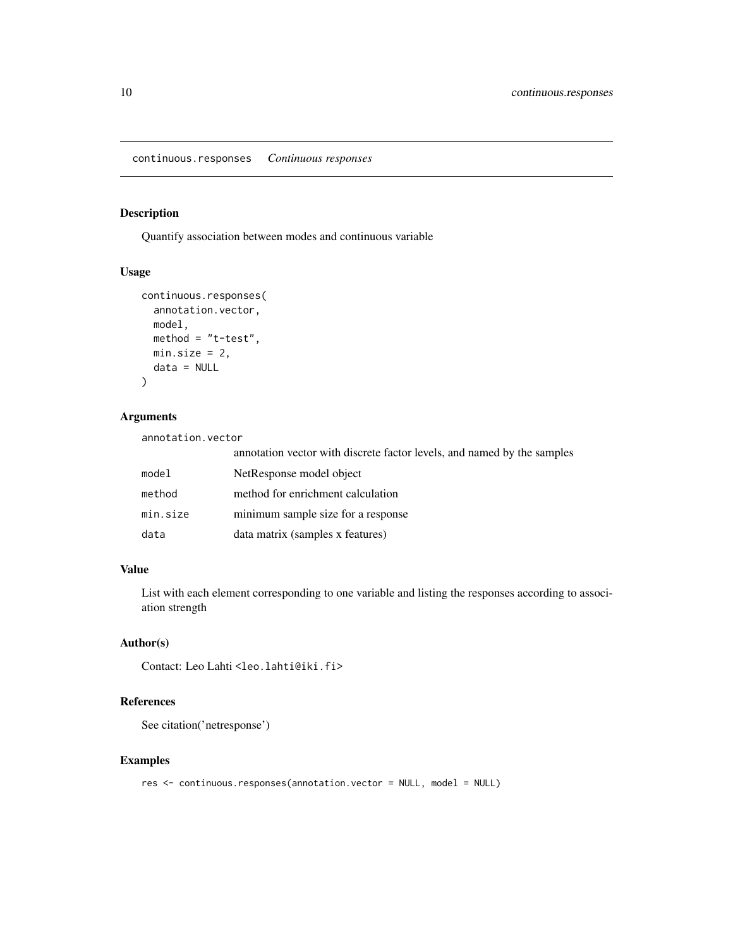<span id="page-9-0"></span>continuous.responses *Continuous responses*

#### Description

Quantify association between modes and continuous variable

#### Usage

```
continuous.responses(
 annotation.vector,
 model,
 method = "t-test",min.size = 2,
 data = NULL
)
```
### Arguments

annotation.vector

|          | annotation vector with discrete factor levels, and named by the samples |
|----------|-------------------------------------------------------------------------|
| model    | NetResponse model object                                                |
| method   | method for enrichment calculation                                       |
| min.size | minimum sample size for a response                                      |
| data     | data matrix (samples x features)                                        |

### Value

List with each element corresponding to one variable and listing the responses according to association strength

#### Author(s)

Contact: Leo Lahti<br/> <leo.lahti@iki.fi>

### References

See citation('netresponse')

#### Examples

res <- continuous.responses(annotation.vector = NULL, model = NULL)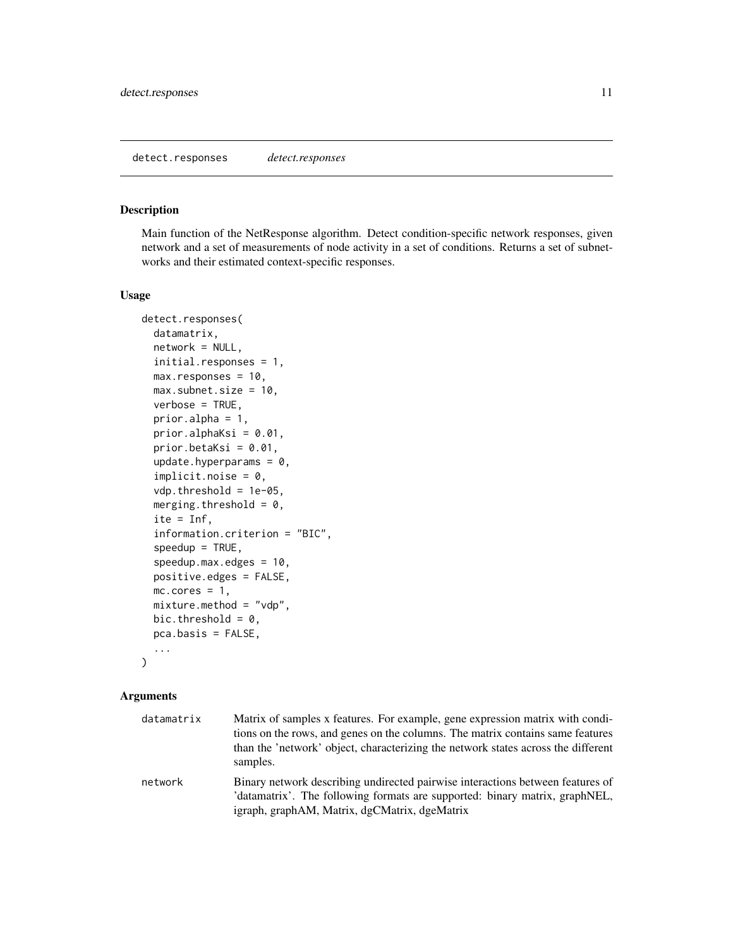### <span id="page-10-1"></span><span id="page-10-0"></span>Description

Main function of the NetResponse algorithm. Detect condition-specific network responses, given network and a set of measurements of node activity in a set of conditions. Returns a set of subnetworks and their estimated context-specific responses.

#### Usage

```
detect.responses(
  datamatrix,
  network = NULL,
  initial.responses = 1,
  max.responses = 10,
 max.subnet.size = 10,
  verbose = TRUE,
  prior.alpha = 1,
  prior.alphaKsi = 0.01,
  prior.betaKsi = 0.01,
  update.hyperparams = 0,
  implicit.noise = 0,vdp.threshold = 1e-05,
  merging.threshold = 0,
  ite = Inf,
  information.criterion = "BIC",
  speedup = TRUE,speedup.max. edges = 10,positive.edges = FALSE,
  mc.core = 1,
  mixture.method = "vdp",
  bic.threshold = 0,
  pca.basis = FALSE,
  ...
```
#### $\mathcal{E}$

| datamatrix | Matrix of samples x features. For example, gene expression matrix with condi-<br>tions on the rows, and genes on the columns. The matrix contains same features<br>than the 'network' object, characterizing the network states across the different<br>samples. |
|------------|------------------------------------------------------------------------------------------------------------------------------------------------------------------------------------------------------------------------------------------------------------------|
| network    | Binary network describing undirected pairwise interactions between features of<br>'datamatrix'. The following formats are supported: binary matrix, graphNEL,<br>igraph, graphAM, Matrix, dgCMatrix, dgeMatrix                                                   |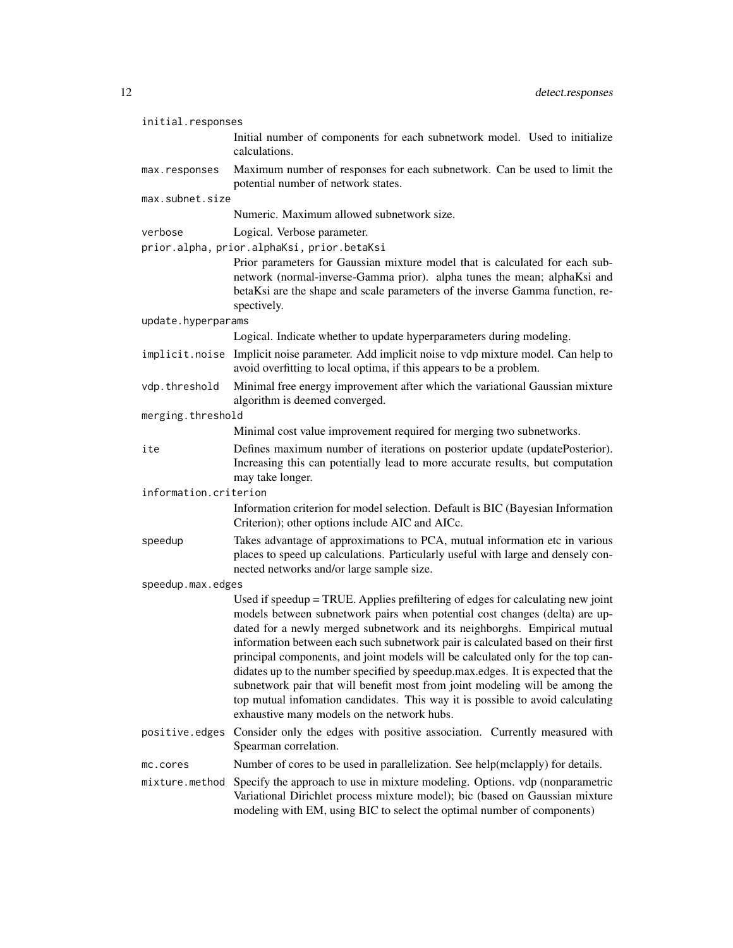| initial.responses     |                                                                                                                                                                                                                                                                                                                                                                                                                                                                                                                                                                                                                                                                                                                         |
|-----------------------|-------------------------------------------------------------------------------------------------------------------------------------------------------------------------------------------------------------------------------------------------------------------------------------------------------------------------------------------------------------------------------------------------------------------------------------------------------------------------------------------------------------------------------------------------------------------------------------------------------------------------------------------------------------------------------------------------------------------------|
|                       | Initial number of components for each subnetwork model. Used to initialize<br>calculations.                                                                                                                                                                                                                                                                                                                                                                                                                                                                                                                                                                                                                             |
| max.responses         | Maximum number of responses for each subnetwork. Can be used to limit the<br>potential number of network states.                                                                                                                                                                                                                                                                                                                                                                                                                                                                                                                                                                                                        |
| max.subnet.size       |                                                                                                                                                                                                                                                                                                                                                                                                                                                                                                                                                                                                                                                                                                                         |
|                       | Numeric. Maximum allowed subnetwork size.                                                                                                                                                                                                                                                                                                                                                                                                                                                                                                                                                                                                                                                                               |
| verbose               | Logical. Verbose parameter.                                                                                                                                                                                                                                                                                                                                                                                                                                                                                                                                                                                                                                                                                             |
|                       | prior.alpha, prior.alphaKsi, prior.betaKsi                                                                                                                                                                                                                                                                                                                                                                                                                                                                                                                                                                                                                                                                              |
|                       | Prior parameters for Gaussian mixture model that is calculated for each sub-<br>network (normal-inverse-Gamma prior). alpha tunes the mean; alphaKsi and<br>betaKsi are the shape and scale parameters of the inverse Gamma function, re-<br>spectively.                                                                                                                                                                                                                                                                                                                                                                                                                                                                |
| update.hyperparams    |                                                                                                                                                                                                                                                                                                                                                                                                                                                                                                                                                                                                                                                                                                                         |
|                       | Logical. Indicate whether to update hyperparameters during modeling.                                                                                                                                                                                                                                                                                                                                                                                                                                                                                                                                                                                                                                                    |
|                       | implicit.noise Implicit noise parameter. Add implicit noise to vdp mixture model. Can help to<br>avoid overfitting to local optima, if this appears to be a problem.                                                                                                                                                                                                                                                                                                                                                                                                                                                                                                                                                    |
| vdp.threshold         | Minimal free energy improvement after which the variational Gaussian mixture<br>algorithm is deemed converged.                                                                                                                                                                                                                                                                                                                                                                                                                                                                                                                                                                                                          |
| merging.threshold     |                                                                                                                                                                                                                                                                                                                                                                                                                                                                                                                                                                                                                                                                                                                         |
|                       | Minimal cost value improvement required for merging two subnetworks.                                                                                                                                                                                                                                                                                                                                                                                                                                                                                                                                                                                                                                                    |
| ite                   | Defines maximum number of iterations on posterior update (updatePosterior).<br>Increasing this can potentially lead to more accurate results, but computation<br>may take longer.                                                                                                                                                                                                                                                                                                                                                                                                                                                                                                                                       |
| information.criterion |                                                                                                                                                                                                                                                                                                                                                                                                                                                                                                                                                                                                                                                                                                                         |
|                       | Information criterion for model selection. Default is BIC (Bayesian Information<br>Criterion); other options include AIC and AICc.                                                                                                                                                                                                                                                                                                                                                                                                                                                                                                                                                                                      |
| speedup               | Takes advantage of approximations to PCA, mutual information etc in various<br>places to speed up calculations. Particularly useful with large and densely con-<br>nected networks and/or large sample size.                                                                                                                                                                                                                                                                                                                                                                                                                                                                                                            |
| speedup.max.edges     |                                                                                                                                                                                                                                                                                                                                                                                                                                                                                                                                                                                                                                                                                                                         |
|                       | Used if speedup = TRUE. Applies prefiltering of edges for calculating new joint<br>models between subnetwork pairs when potential cost changes (delta) are up-<br>dated for a newly merged subnetwork and its neighborghs. Empirical mutual<br>information between each such subnetwork pair is calculated based on their first<br>principal components, and joint models will be calculated only for the top can-<br>didates up to the number specified by speedup.max.edges. It is expected that the<br>subnetwork pair that will benefit most from joint modeling will be among the<br>top mutual infomation candidates. This way it is possible to avoid calculating<br>exhaustive many models on the network hubs. |
| positive.edges        | Consider only the edges with positive association. Currently measured with                                                                                                                                                                                                                                                                                                                                                                                                                                                                                                                                                                                                                                              |
|                       | Spearman correlation.                                                                                                                                                                                                                                                                                                                                                                                                                                                                                                                                                                                                                                                                                                   |
| mc.cores              | Number of cores to be used in parallelization. See help(mclapply) for details.                                                                                                                                                                                                                                                                                                                                                                                                                                                                                                                                                                                                                                          |
| mixture.method        | Specify the approach to use in mixture modeling. Options. vdp (nonparametric<br>Variational Dirichlet process mixture model); bic (based on Gaussian mixture<br>modeling with EM, using BIC to select the optimal number of components)                                                                                                                                                                                                                                                                                                                                                                                                                                                                                 |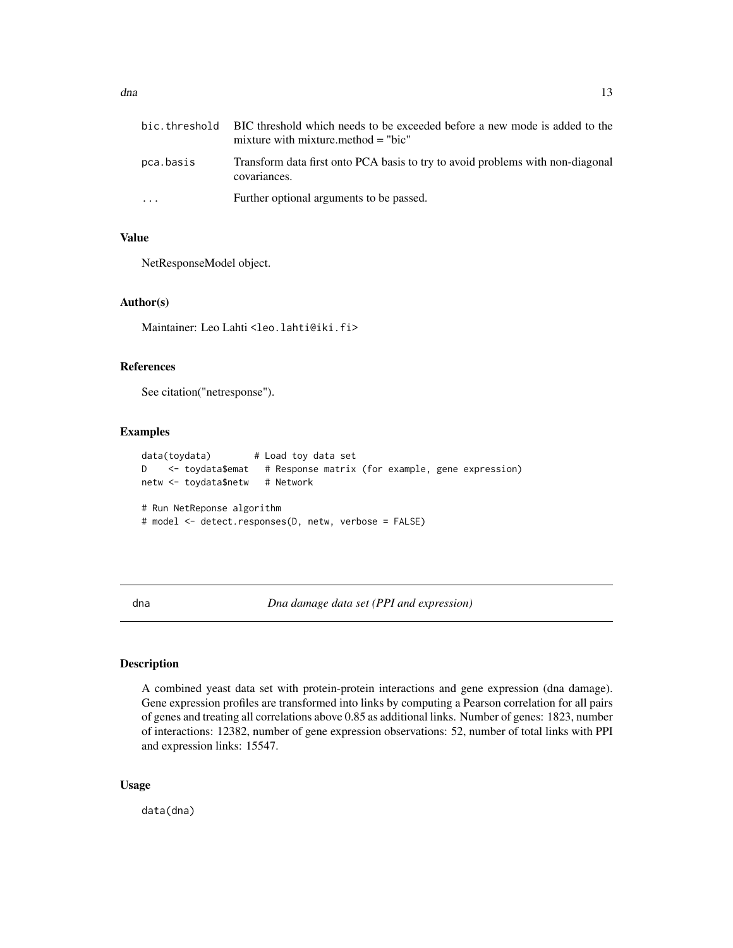<span id="page-12-0"></span>

|           | bic, threshold BIC threshold which needs to be exceeded before a new mode is added to the<br>mixture with mixture method $=$ "bic" |
|-----------|------------------------------------------------------------------------------------------------------------------------------------|
| pca.basis | Transform data first onto PCA basis to try to avoid problems with non-diagonal<br>covariances.                                     |
| $\ddotsc$ | Further optional arguments to be passed.                                                                                           |

### Value

NetResponseModel object.

#### Author(s)

Maintainer: Leo Lahti<br/>leo.lahti@iki.fi>

#### References

See citation("netresponse").

#### Examples

```
data(toydata) # Load toy data set
D <- toydata$emat # Response matrix (for example, gene expression)
netw <- toydata$netw # Network
# Run NetReponse algorithm
# model <- detect.responses(D, netw, verbose = FALSE)
```
dna *Dna damage data set (PPI and expression)*

#### Description

A combined yeast data set with protein-protein interactions and gene expression (dna damage). Gene expression profiles are transformed into links by computing a Pearson correlation for all pairs of genes and treating all correlations above 0.85 as additional links. Number of genes: 1823, number of interactions: 12382, number of gene expression observations: 52, number of total links with PPI and expression links: 15547.

#### Usage

data(dna)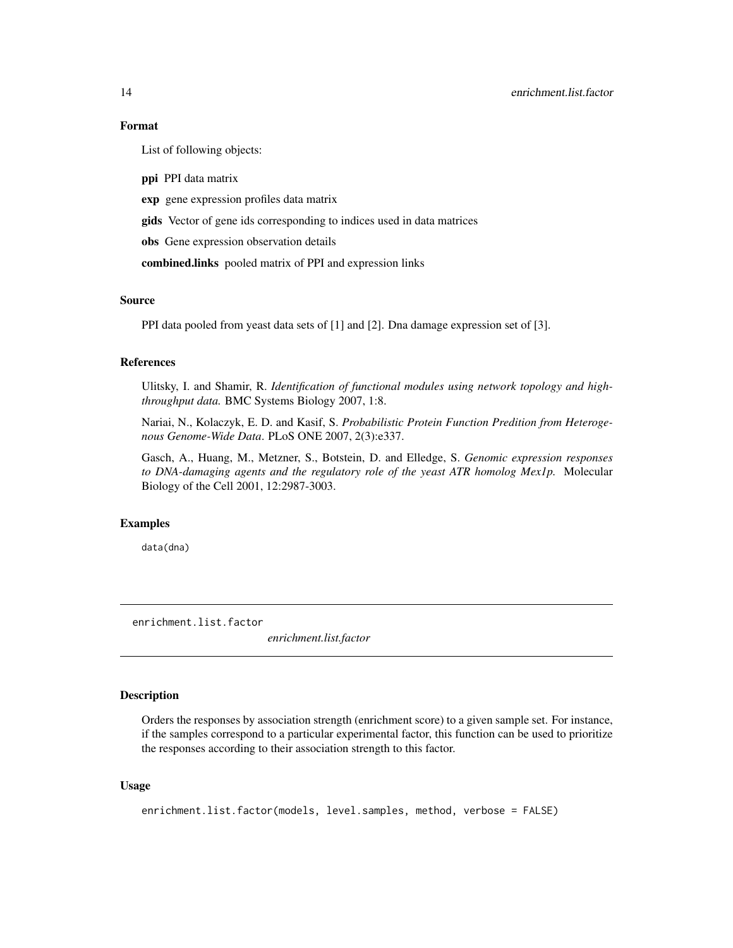#### Format

List of following objects:

ppi PPI data matrix

exp gene expression profiles data matrix

gids Vector of gene ids corresponding to indices used in data matrices

obs Gene expression observation details

combined.links pooled matrix of PPI and expression links

#### Source

PPI data pooled from yeast data sets of [1] and [2]. Dna damage expression set of [3].

### References

Ulitsky, I. and Shamir, R. *Identification of functional modules using network topology and highthroughput data.* BMC Systems Biology 2007, 1:8.

Nariai, N., Kolaczyk, E. D. and Kasif, S. *Probabilistic Protein Function Predition from Heterogenous Genome-Wide Data*. PLoS ONE 2007, 2(3):e337.

Gasch, A., Huang, M., Metzner, S., Botstein, D. and Elledge, S. *Genomic expression responses to DNA-damaging agents and the regulatory role of the yeast ATR homolog Mex1p.* Molecular Biology of the Cell 2001, 12:2987-3003.

#### Examples

data(dna)

enrichment.list.factor

*enrichment.list.factor*

#### Description

Orders the responses by association strength (enrichment score) to a given sample set. For instance, if the samples correspond to a particular experimental factor, this function can be used to prioritize the responses according to their association strength to this factor.

#### Usage

enrichment.list.factor(models, level.samples, method, verbose = FALSE)

<span id="page-13-0"></span>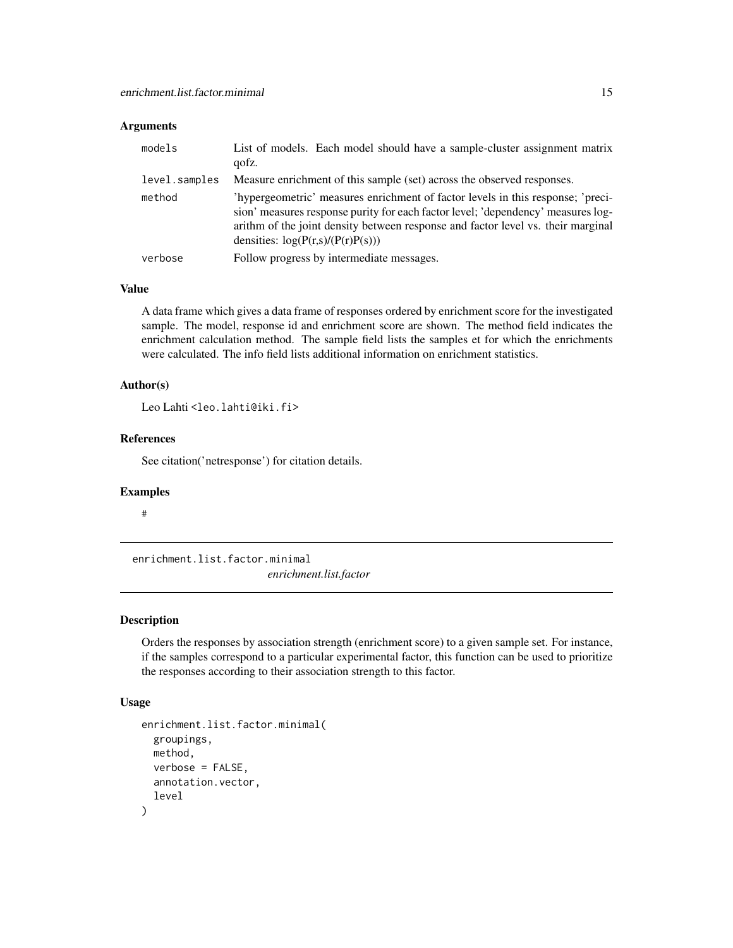### <span id="page-14-0"></span>Arguments

| models        | List of models. Each model should have a sample-cluster assignment matrix<br>qofz.                                                                                                                                                                                                             |
|---------------|------------------------------------------------------------------------------------------------------------------------------------------------------------------------------------------------------------------------------------------------------------------------------------------------|
| level.samples | Measure enrichment of this sample (set) across the observed responses.                                                                                                                                                                                                                         |
| method        | 'hypergeometric' measures enrichment of factor levels in this response; 'preci-<br>sion' measures response purity for each factor level; 'dependency' measures log-<br>arithm of the joint density between response and factor level vs. their marginal<br>densities: $log(P(r,s)/(P(r)P(s)))$ |
| verbose       | Follow progress by intermediate messages.                                                                                                                                                                                                                                                      |

#### Value

A data frame which gives a data frame of responses ordered by enrichment score for the investigated sample. The model, response id and enrichment score are shown. The method field indicates the enrichment calculation method. The sample field lists the samples et for which the enrichments were calculated. The info field lists additional information on enrichment statistics.

#### Author(s)

Leo Lahti<br/><a>
Leo Lahti<br/>@iki.fi>

#### References

See citation('netresponse') for citation details.

#### Examples

#

enrichment.list.factor.minimal *enrichment.list.factor*

### Description

Orders the responses by association strength (enrichment score) to a given sample set. For instance, if the samples correspond to a particular experimental factor, this function can be used to prioritize the responses according to their association strength to this factor.

#### Usage

```
enrichment.list.factor.minimal(
  groupings,
 method,
 verbose = FALSE,
  annotation.vector,
  level
)
```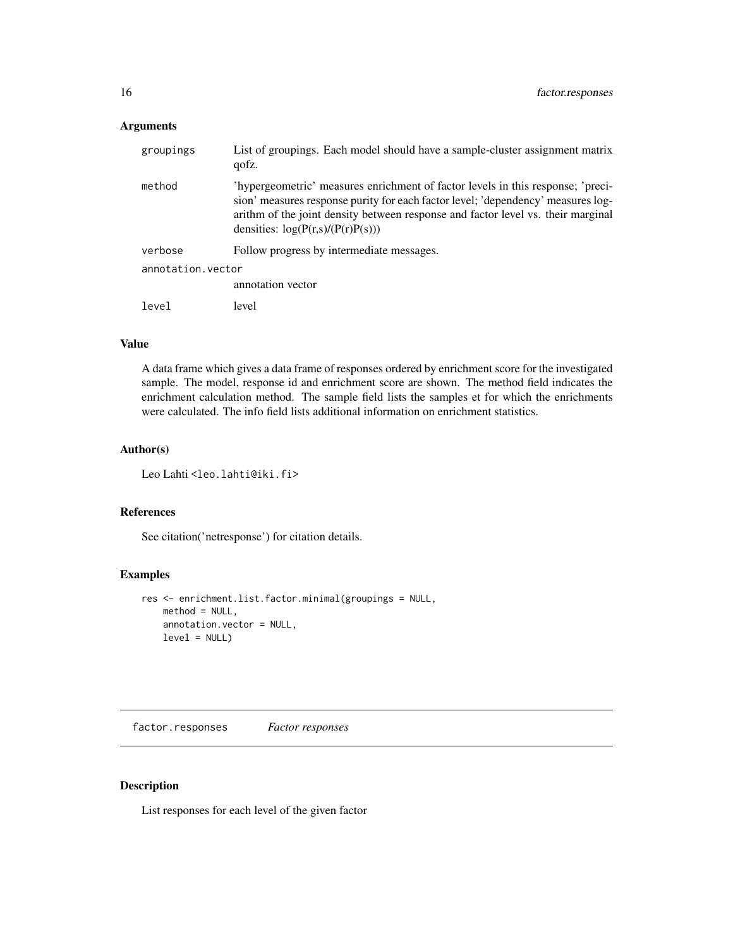### <span id="page-15-0"></span>Arguments

| groupings         | List of groupings. Each model should have a sample-cluster assignment matrix<br>qofz.                                                                                                                                                                                                          |
|-------------------|------------------------------------------------------------------------------------------------------------------------------------------------------------------------------------------------------------------------------------------------------------------------------------------------|
| method            | 'hypergeometric' measures enrichment of factor levels in this response; 'preci-<br>sion' measures response purity for each factor level; 'dependency' measures log-<br>arithm of the joint density between response and factor level vs. their marginal<br>densities: $log(P(r,s)/(P(r)P(s)))$ |
| verbose           | Follow progress by intermediate messages.                                                                                                                                                                                                                                                      |
| annotation.vector |                                                                                                                                                                                                                                                                                                |
|                   | annotation vector                                                                                                                                                                                                                                                                              |
| level             | level                                                                                                                                                                                                                                                                                          |

### Value

A data frame which gives a data frame of responses ordered by enrichment score for the investigated sample. The model, response id and enrichment score are shown. The method field indicates the enrichment calculation method. The sample field lists the samples et for which the enrichments were calculated. The info field lists additional information on enrichment statistics.

#### Author(s)

Leo Lahti<br/><a>
Leo.lahti@iki.fi>

#### References

See citation('netresponse') for citation details.

### Examples

```
res <- enrichment.list.factor.minimal(groupings = NULL,
   method = NULL,
   annotation.vector = NULL,
   level = NULL)
```
factor.responses *Factor responses*

### Description

List responses for each level of the given factor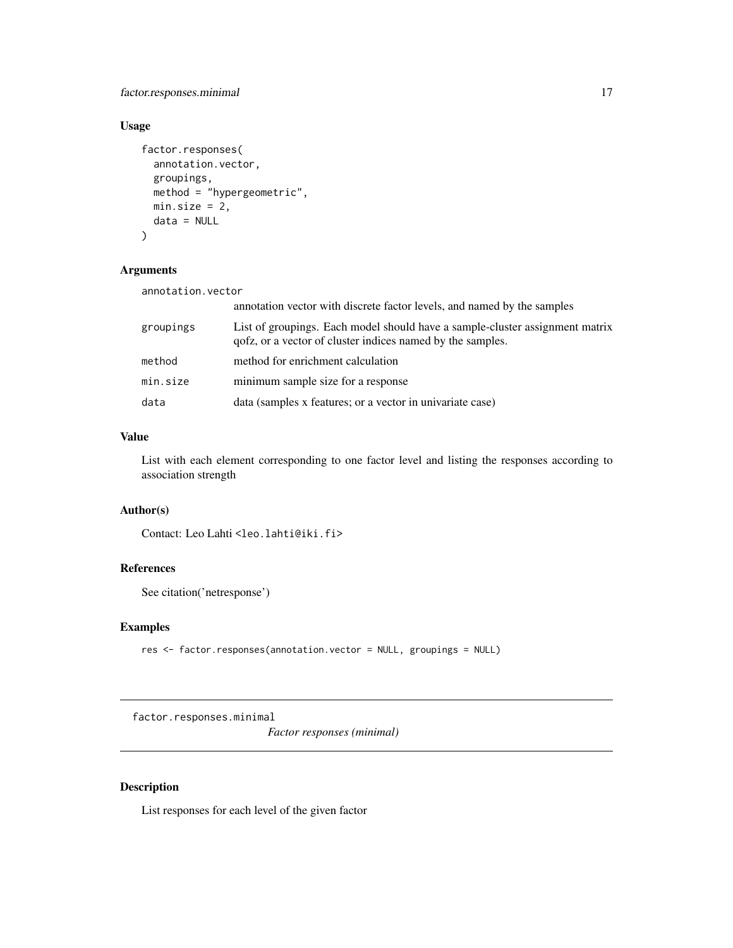### <span id="page-16-0"></span>factor.responses.minimal 17

### Usage

```
factor.responses(
  annotation.vector,
  groupings,
  method = "hypergeometric",
  min.size = 2,
  data = NULL
)
```
### Arguments

| annotation.vector |                                                                                                                                            |
|-------------------|--------------------------------------------------------------------------------------------------------------------------------------------|
|                   | annotation vector with discrete factor levels, and named by the samples                                                                    |
| groupings         | List of groupings. Each model should have a sample-cluster assignment matrix<br>qofz, or a vector of cluster indices named by the samples. |
| method            | method for enrichment calculation                                                                                                          |
| min.size          | minimum sample size for a response                                                                                                         |
| data              | data (samples x features; or a vector in univariate case)                                                                                  |

### Value

List with each element corresponding to one factor level and listing the responses according to association strength

### Author(s)

Contact: Leo Lahti<br/> <leo.lahti@iki.fi>

### References

See citation('netresponse')

#### Examples

res <- factor.responses(annotation.vector = NULL, groupings = NULL)

factor.responses.minimal

*Factor responses (minimal)*

### Description

List responses for each level of the given factor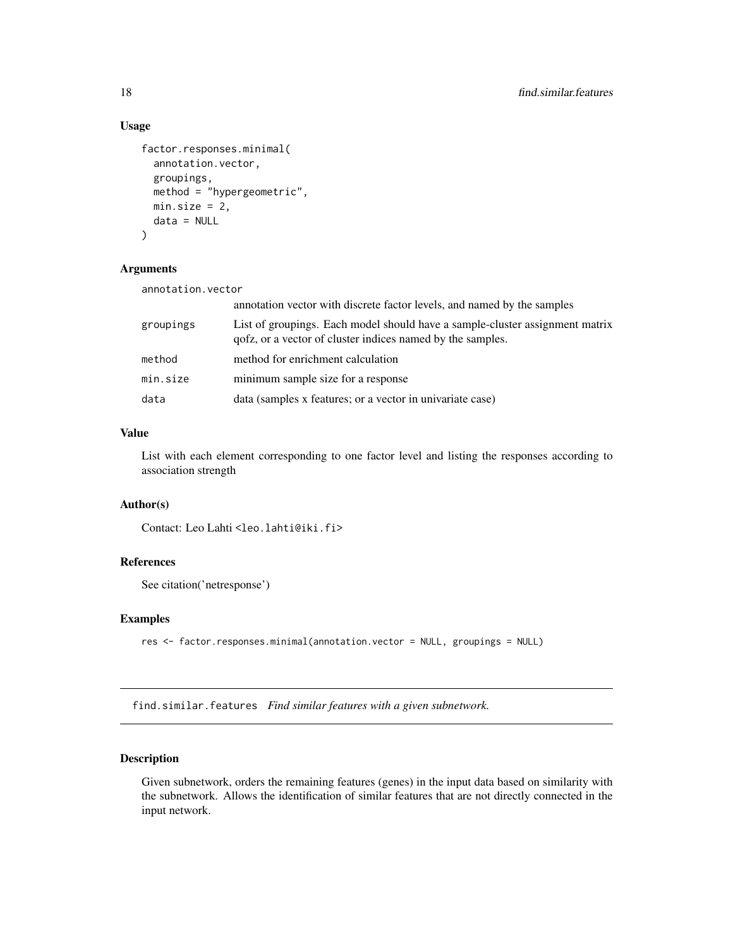### Usage

```
factor.responses.minimal(
  annotation.vector,
 groupings,
 method = "hypergeometric",
 min.size = 2,
 data = NULL
)
```
### Arguments

| annotation.vector |                                                                                                                                            |
|-------------------|--------------------------------------------------------------------------------------------------------------------------------------------|
|                   | annotation vector with discrete factor levels, and named by the samples                                                                    |
| groupings         | List of groupings. Each model should have a sample-cluster assignment matrix<br>qofz, or a vector of cluster indices named by the samples. |
| method            | method for enrichment calculation                                                                                                          |
| min.size          | minimum sample size for a response                                                                                                         |
| data              | data (samples x features; or a vector in univariate case)                                                                                  |

#### Value

List with each element corresponding to one factor level and listing the responses according to association strength

#### Author(s)

Contact: Leo Lahti<br/>
<br/>
<br/>
Leo Lahti<br/>
Leo.lahti@iki.fi>

#### References

See citation('netresponse')

### Examples

```
res <- factor.responses.minimal(annotation.vector = NULL, groupings = NULL)
```
find.similar.features *Find similar features with a given subnetwork.*

#### Description

Given subnetwork, orders the remaining features (genes) in the input data based on similarity with the subnetwork. Allows the identification of similar features that are not directly connected in the input network.

<span id="page-17-0"></span>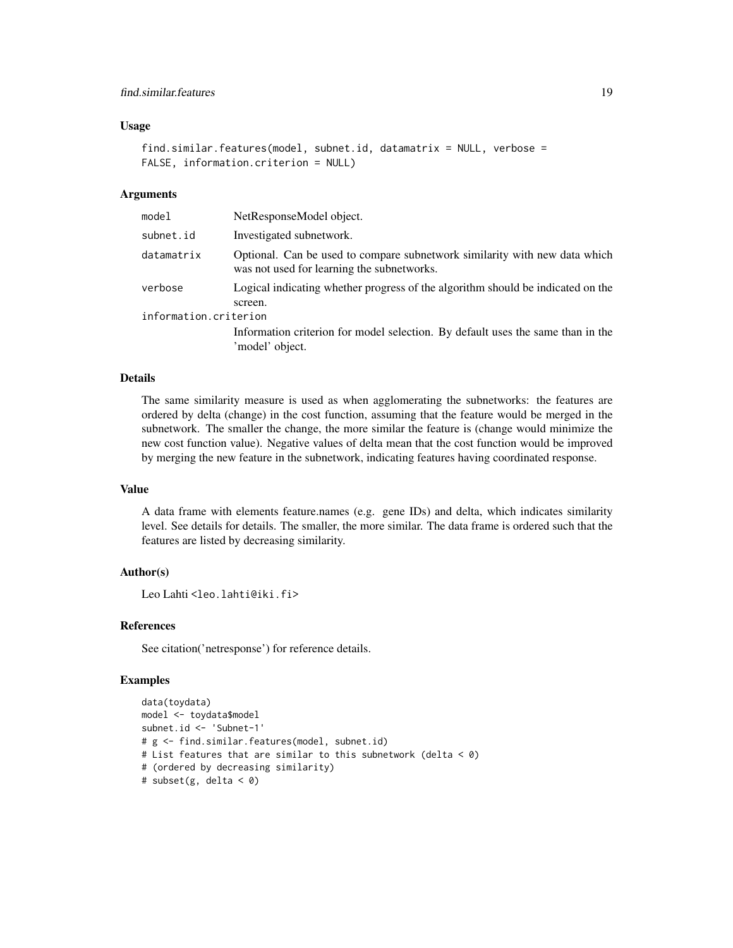#### Usage

```
find.similar.features(model, subnet.id, datamatrix = NULL, verbose =
FALSE, information.criterion = NULL)
```
#### Arguments

| NetResponseModel object.                                                                                                 |  |  |
|--------------------------------------------------------------------------------------------------------------------------|--|--|
| Investigated subnetwork.                                                                                                 |  |  |
| Optional. Can be used to compare subnetwork similarity with new data which<br>was not used for learning the subnetworks. |  |  |
| Logical indicating whether progress of the algorithm should be indicated on the<br>screen.                               |  |  |
| information.criterion                                                                                                    |  |  |
| Information criterion for model selection. By default uses the same than in the<br>'model' object.                       |  |  |
|                                                                                                                          |  |  |

### Details

The same similarity measure is used as when agglomerating the subnetworks: the features are ordered by delta (change) in the cost function, assuming that the feature would be merged in the subnetwork. The smaller the change, the more similar the feature is (change would minimize the new cost function value). Negative values of delta mean that the cost function would be improved by merging the new feature in the subnetwork, indicating features having coordinated response.

#### Value

A data frame with elements feature.names (e.g. gene IDs) and delta, which indicates similarity level. See details for details. The smaller, the more similar. The data frame is ordered such that the features are listed by decreasing similarity.

### Author(s)

Leo Lahti<br />
<br />
Leo Lahti<br />
Leo Lahti<br />
Leo Lahti<br />
Leo Lahti<br />
Leo Lahti<br />
Leo Lahti<br />
Leo Lahti<br />
Leo Lahti<br />
Leo Lahti<br />
Leo Lahti<br />
Leo Lahti<br />
Leo Lahti<br />
Leo Lah

#### References

See citation('netresponse') for reference details.

### Examples

```
data(toydata)
model <- toydata$model
subnet.id <- 'Subnet-1'
# g <- find.similar.features(model, subnet.id)
# List features that are similar to this subnetwork (delta < 0)
# (ordered by decreasing similarity)
# subset(g, delta < 0)
```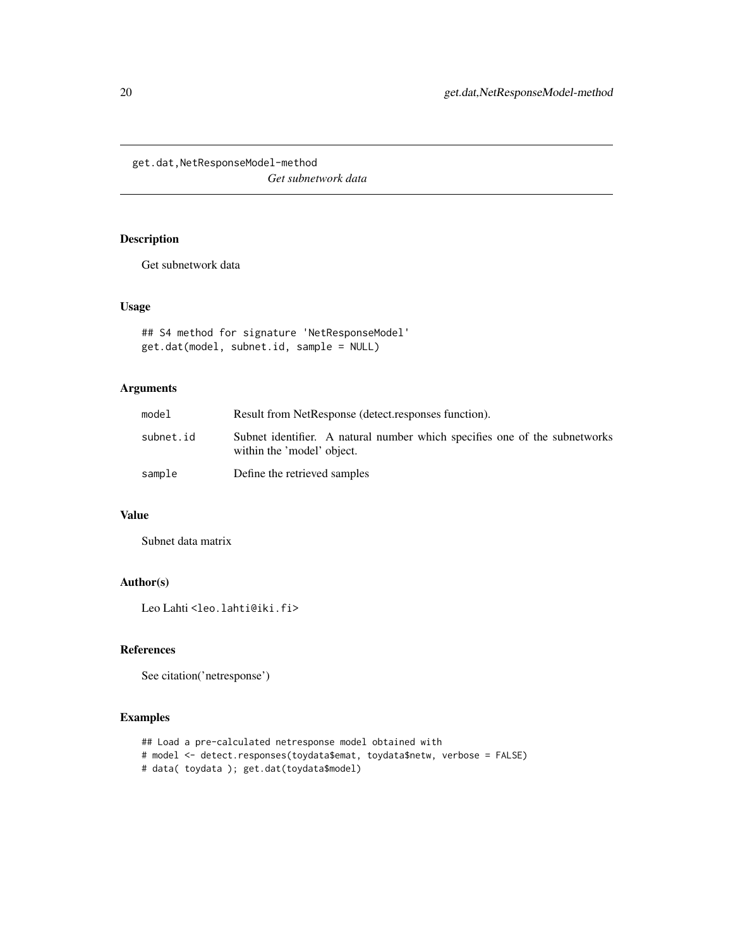<span id="page-19-0"></span>get.dat,NetResponseModel-method *Get subnetwork data*

### Description

Get subnetwork data

#### Usage

```
## S4 method for signature 'NetResponseModel'
get.dat(model, subnet.id, sample = NULL)
```
### Arguments

| model     | Result from NetResponse (detect.responses function).                                                     |
|-----------|----------------------------------------------------------------------------------------------------------|
| subnet.id | Subnet identifier. A natural number which specifies one of the subnetworks<br>within the 'model' object. |
| sample    | Define the retrieved samples                                                                             |

#### Value

Subnet data matrix

### Author(s)

Leo Lahti<br/> <a>
Leo.lahti@iki.fi>

### References

See citation('netresponse')

### Examples

```
## Load a pre-calculated netresponse model obtained with
# model <- detect.responses(toydata$emat, toydata$netw, verbose = FALSE)
# data( toydata ); get.dat(toydata$model)
```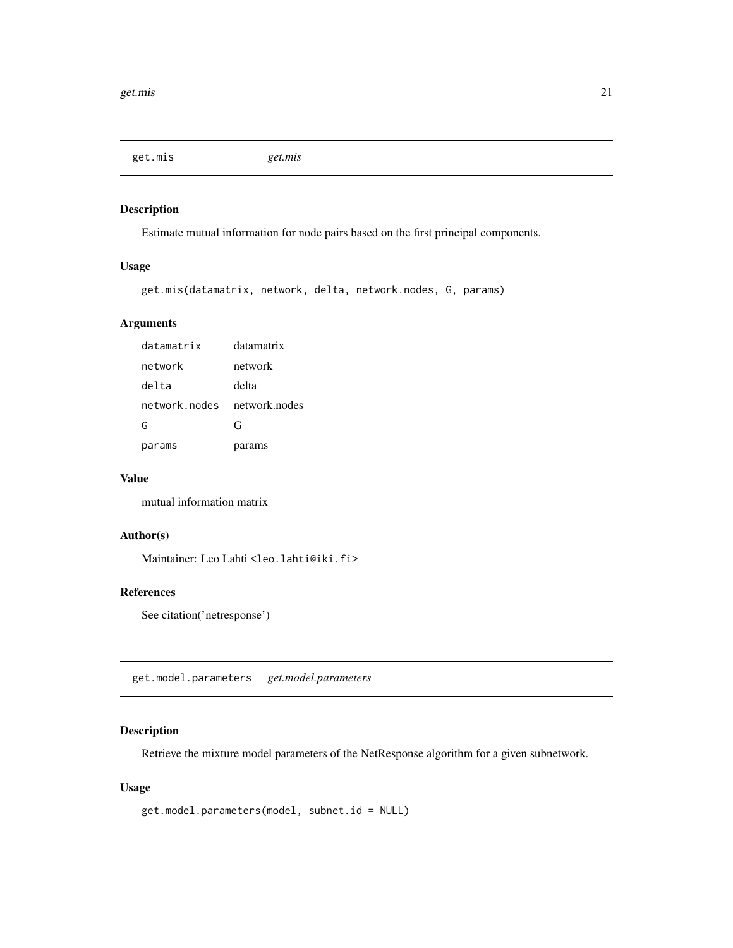<span id="page-20-0"></span>get.mis *get.mis*

### Description

Estimate mutual information for node pairs based on the first principal components.

### Usage

```
get.mis(datamatrix, network, delta, network.nodes, G, params)
```
### Arguments

| datamatrix    | datamatrix    |
|---------------|---------------|
| network       | network       |
| delta         | delta         |
| network nodes | network nodes |
| G             | G             |
| params        | params        |

#### Value

mutual information matrix

### Author(s)

Maintainer: Leo Lahti <leo.lahti@iki.fi>

### References

See citation('netresponse')

get.model.parameters *get.model.parameters*

### Description

Retrieve the mixture model parameters of the NetResponse algorithm for a given subnetwork.

#### Usage

```
get.model.parameters(model, subnet.id = NULL)
```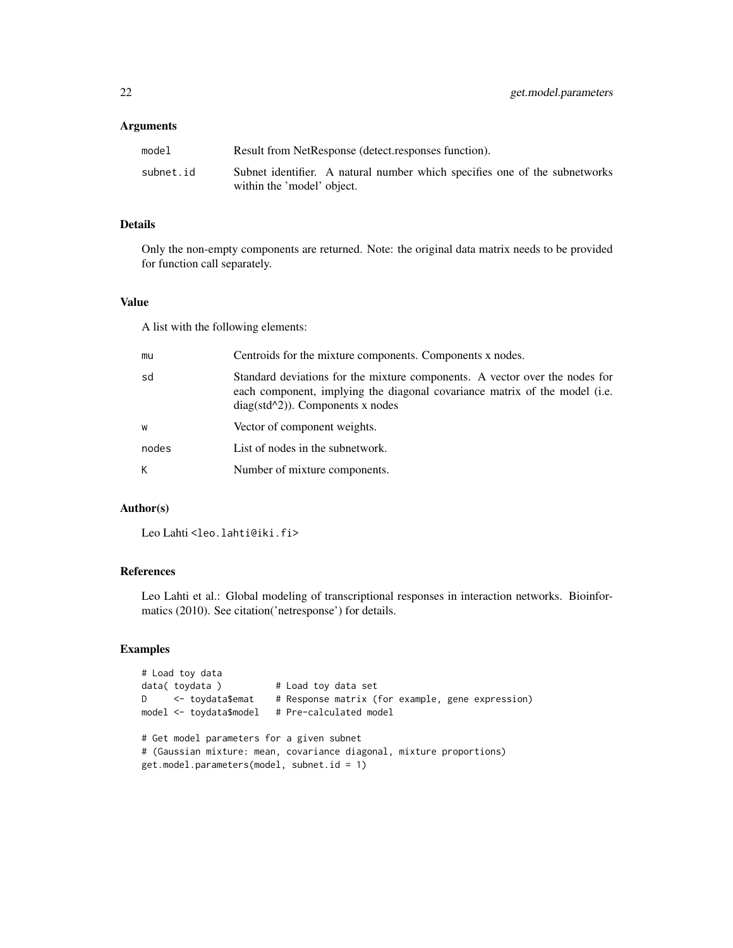#### Arguments

| model     | Result from NetResponse (detect.responses function).                                                     |
|-----------|----------------------------------------------------------------------------------------------------------|
| subnet.id | Subnet identifier. A natural number which specifies one of the subnetworks<br>within the 'model' object. |

### Details

Only the non-empty components are returned. Note: the original data matrix needs to be provided for function call separately.

#### Value

A list with the following elements:

| mu    | Centroids for the mixture components. Components x nodes.                                                                                                                                        |
|-------|--------------------------------------------------------------------------------------------------------------------------------------------------------------------------------------------------|
| sd    | Standard deviations for the mixture components. A vector over the nodes for<br>each component, implying the diagonal covariance matrix of the model (i.e.<br>$diag(std^2)$ ). Components x nodes |
| W     | Vector of component weights.                                                                                                                                                                     |
| nodes | List of nodes in the subnetwork.                                                                                                                                                                 |
| K     | Number of mixture components.                                                                                                                                                                    |

#### Author(s)

Leo Lahti<br/> <a>
Leo.lahti@iki.fi>

### References

Leo Lahti et al.: Global modeling of transcriptional responses in interaction networks. Bioinformatics (2010). See citation('netresponse') for details.

### Examples

```
# Load toy data
data( toydata ) # Load toy data set
D <- toydata$emat # Response matrix (for example, gene expression)
model <- toydata$model # Pre-calculated model
# Get model parameters for a given subnet
# (Gaussian mixture: mean, covariance diagonal, mixture proportions)
get.model.parameters(model, subnet.id = 1)
```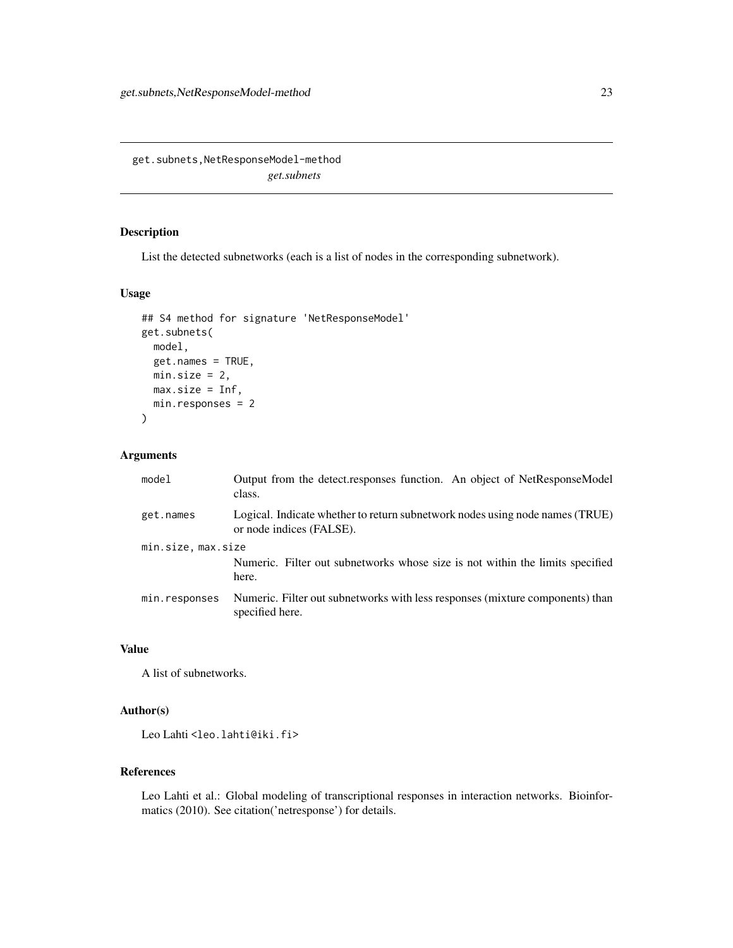<span id="page-22-0"></span>get.subnets,NetResponseModel-method *get.subnets*

### Description

List the detected subnetworks (each is a list of nodes in the corresponding subnetwork).

#### Usage

```
## S4 method for signature 'NetResponseModel'
get.subnets(
 model,
 get.names = TRUE,
 min.size = 2,
 max.size = Inf,
 min.responses = 2
)
```
### Arguments

| model                                                                                               | Output from the detect.responses function. An object of NetResponseModel<br>class.                       |
|-----------------------------------------------------------------------------------------------------|----------------------------------------------------------------------------------------------------------|
| get.names                                                                                           | Logical. Indicate whether to return subnetwork nodes using node names (TRUE)<br>or node indices (FALSE). |
| min.size, max.size<br>Numeric. Filter out subnetworks whose size is not within the limits specified |                                                                                                          |
|                                                                                                     | here.                                                                                                    |
| min.responses                                                                                       | Numeric. Filter out subnetworks with less responses (mixture components) than<br>specified here.         |

### Value

A list of subnetworks.

### Author(s)

Leo Lahti<br/><a>
Leo.lahti@iki.fi>

### References

Leo Lahti et al.: Global modeling of transcriptional responses in interaction networks. Bioinformatics (2010). See citation('netresponse') for details.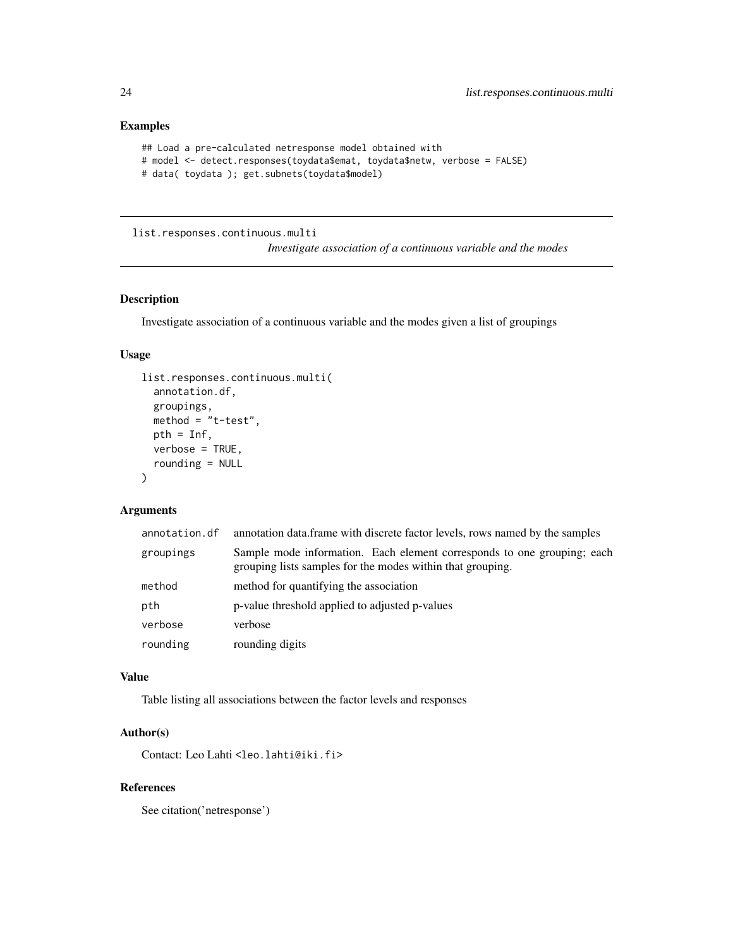### <span id="page-23-0"></span>Examples

```
## Load a pre-calculated netresponse model obtained with
# model <- detect.responses(toydata$emat, toydata$netw, verbose = FALSE)
# data( toydata ); get.subnets(toydata$model)
```
list.responses.continuous.multi

*Investigate association of a continuous variable and the modes*

#### Description

Investigate association of a continuous variable and the modes given a list of groupings

### Usage

```
list.responses.continuous.multi(
  annotation.df,
  groupings,
 method = "t-test",pth = Inf,
  verbose = TRUE,
  rounding = NULL
\lambda
```
#### Arguments

| annotation.df | annotation data frame with discrete factor levels, rows named by the samples                                                          |
|---------------|---------------------------------------------------------------------------------------------------------------------------------------|
| groupings     | Sample mode information. Each element corresponds to one grouping; each<br>grouping lists samples for the modes within that grouping. |
| method        | method for quantifying the association                                                                                                |
| pth           | p-value threshold applied to adjusted p-values                                                                                        |
| verbose       | verbose                                                                                                                               |
| rounding      | rounding digits                                                                                                                       |

#### Value

Table listing all associations between the factor levels and responses

#### Author(s)

Contact: Leo Lahti<br/>
<br/>
<br/>
Leo.lahti@iki.fi>

### References

See citation('netresponse')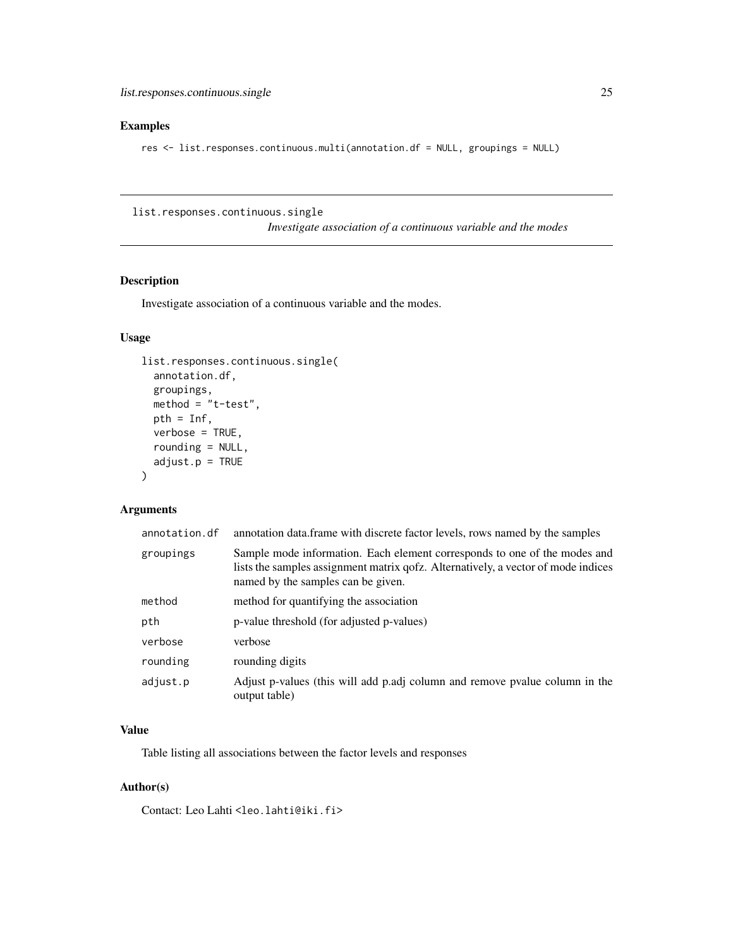### <span id="page-24-0"></span>Examples

res <- list.responses.continuous.multi(annotation.df = NULL, groupings = NULL)

list.responses.continuous.single

*Investigate association of a continuous variable and the modes*

#### Description

Investigate association of a continuous variable and the modes.

### Usage

```
list.responses.continuous.single(
  annotation.df,
 groupings,
 method = "t-test",pth = Inf,
 verbose = TRUE,
  rounding = NULL,
 adjust.p = TRUE)
```
### Arguments

| annotation.df | annotation data.frame with discrete factor levels, rows named by the samples                                                                                                                         |
|---------------|------------------------------------------------------------------------------------------------------------------------------------------------------------------------------------------------------|
| groupings     | Sample mode information. Each element corresponds to one of the modes and<br>lists the samples assignment matrix qofz. Alternatively, a vector of mode indices<br>named by the samples can be given. |
| method        | method for quantifying the association                                                                                                                                                               |
| pth           | p-value threshold (for adjusted p-values)                                                                                                                                                            |
| verbose       | verbose                                                                                                                                                                                              |
| rounding      | rounding digits                                                                                                                                                                                      |
| adjust.p      | Adjust p-values (this will add p.adj column and remove pvalue column in the<br>output table)                                                                                                         |

### Value

Table listing all associations between the factor levels and responses

### Author(s)

Contact: Leo Lahti<br/> <leo.lahti@iki.fi>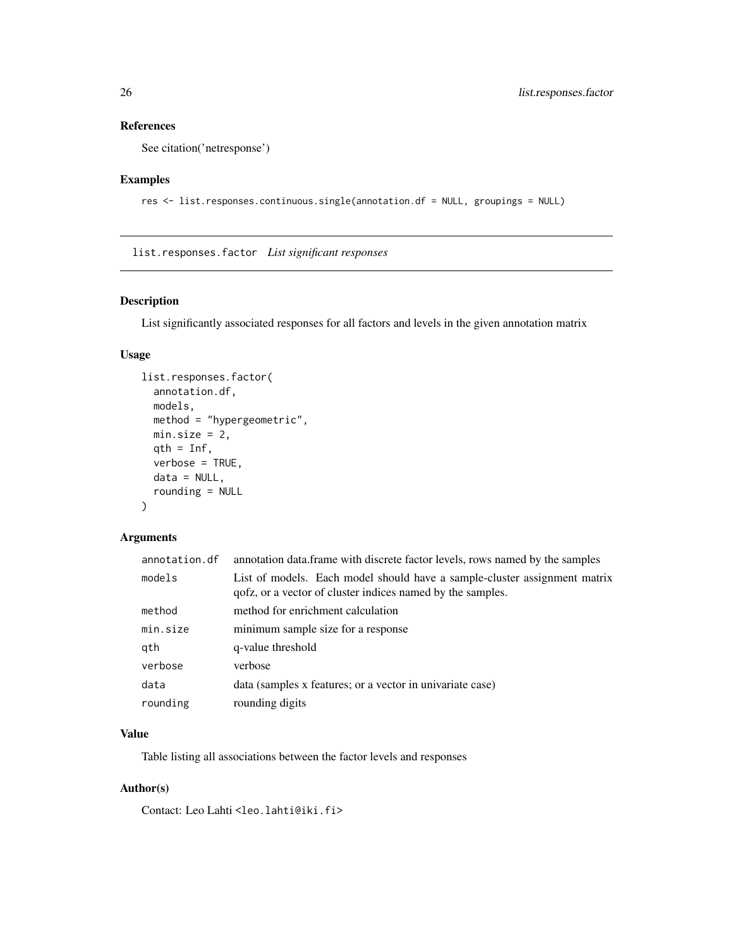```
See citation('netresponse')
```
#### Examples

```
res <- list.responses.continuous.single(annotation.df = NULL, groupings = NULL)
```
list.responses.factor *List significant responses*

### Description

List significantly associated responses for all factors and levels in the given annotation matrix

### Usage

```
list.responses.factor(
  annotation.df,
 models,
 method = "hypergeometric",
 min.size = 2,
 qth = Inf,
  verbose = TRUE,
 data = NULL,
  rounding = NULL
\mathcal{E}
```
#### Arguments

| annotation.df | annotation data. frame with discrete factor levels, rows named by the samples                                                           |
|---------------|-----------------------------------------------------------------------------------------------------------------------------------------|
| models        | List of models. Each model should have a sample-cluster assignment matrix<br>qofz, or a vector of cluster indices named by the samples. |
| method        | method for enrichment calculation                                                                                                       |
| min.size      | minimum sample size for a response                                                                                                      |
| qth           | q-value threshold                                                                                                                       |
| verbose       | verbose                                                                                                                                 |
| data          | data (samples x features; or a vector in univariate case)                                                                               |
| rounding      | rounding digits                                                                                                                         |

### Value

Table listing all associations between the factor levels and responses

### Author(s)

Contact: Leo Lahti<br/> <leo.lahti@iki.fi>

<span id="page-25-0"></span>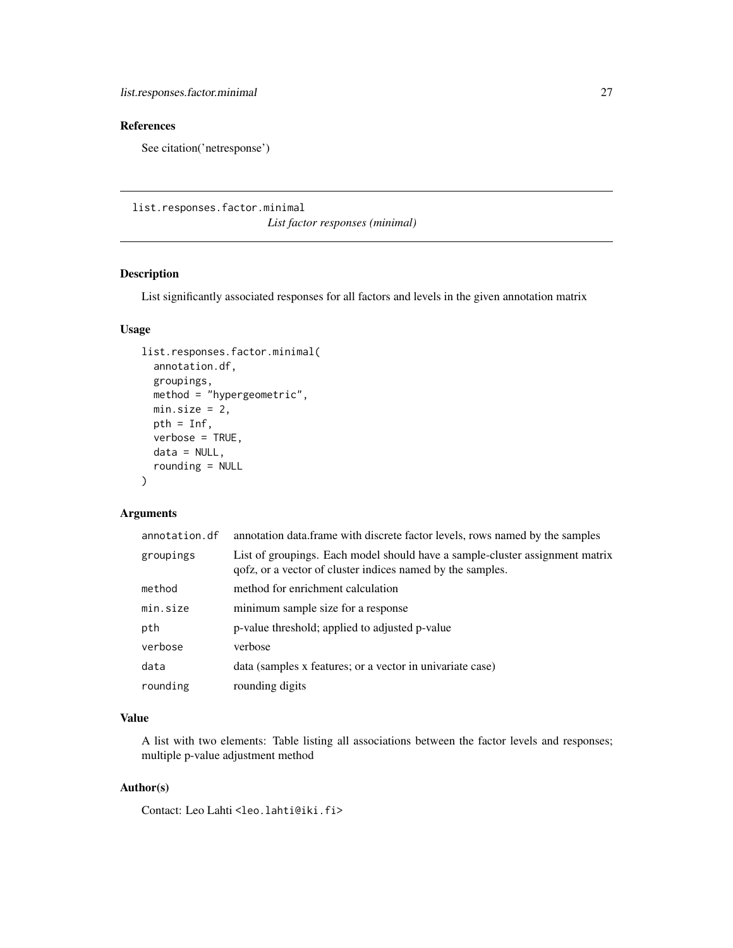<span id="page-26-0"></span>See citation('netresponse')

list.responses.factor.minimal

*List factor responses (minimal)*

#### Description

List significantly associated responses for all factors and levels in the given annotation matrix

### Usage

```
list.responses.factor.minimal(
  annotation.df,
  groupings,
 method = "hypergeometric",
 min.size = 2,
 pth = Inf,
  verbose = TRUE,
  data = NULL,rounding = NULL
)
```
### Arguments

| annotation.df | annotation data. frame with discrete factor levels, rows named by the samples                                                              |
|---------------|--------------------------------------------------------------------------------------------------------------------------------------------|
| groupings     | List of groupings. Each model should have a sample-cluster assignment matrix<br>qofz, or a vector of cluster indices named by the samples. |
| method        | method for enrichment calculation                                                                                                          |
| min.size      | minimum sample size for a response                                                                                                         |
| pth           | p-value threshold; applied to adjusted p-value                                                                                             |
| verbose       | verbose                                                                                                                                    |
| data          | data (samples x features; or a vector in univariate case)                                                                                  |
| rounding      | rounding digits                                                                                                                            |

### Value

A list with two elements: Table listing all associations between the factor levels and responses; multiple p-value adjustment method

### Author(s)

Contact: Leo Lahti<br/> <leo.lahti@iki.fi>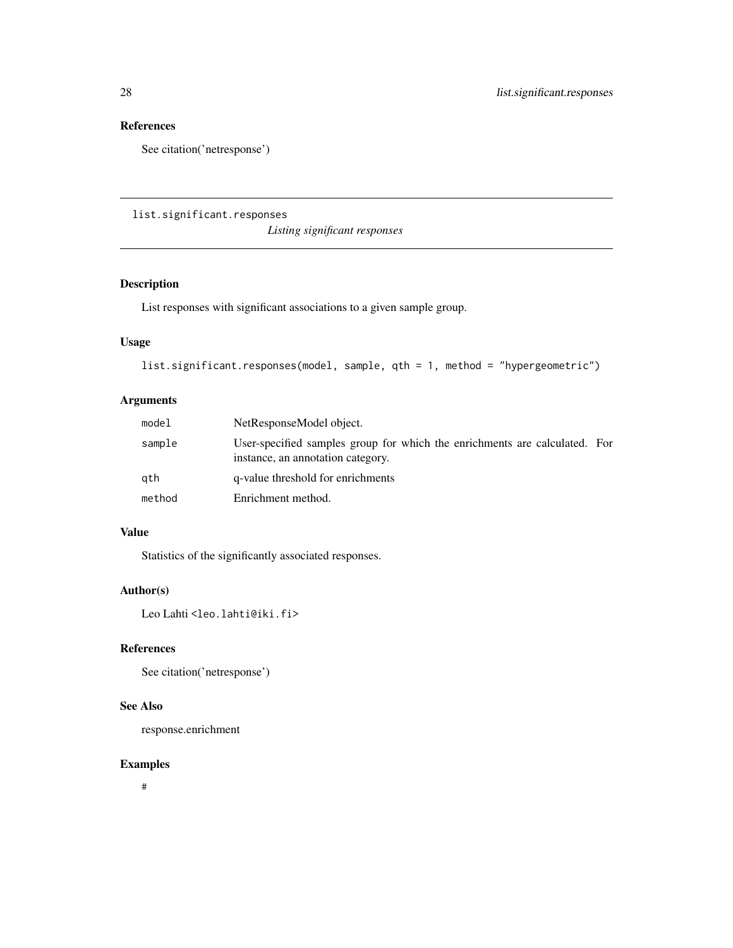<span id="page-27-0"></span>See citation('netresponse')

list.significant.responses

*Listing significant responses*

### Description

List responses with significant associations to a given sample group.

### Usage

```
list.significant.responses(model, sample, qth = 1, method = "hypergeometric")
```
### Arguments

| model  | NetResponseModel object.                                                                                        |  |
|--------|-----------------------------------------------------------------------------------------------------------------|--|
| sample | User-specified samples group for which the enrichments are calculated. For<br>instance, an annotation category. |  |
| gth    | q-value threshold for enrichments                                                                               |  |
| method | Enrichment method.                                                                                              |  |

### Value

Statistics of the significantly associated responses.

### Author(s)

Leo Lahti<br/> <a>
Leo.lahti@iki.fi>

### References

See citation('netresponse')

### See Also

response.enrichment

#### Examples

#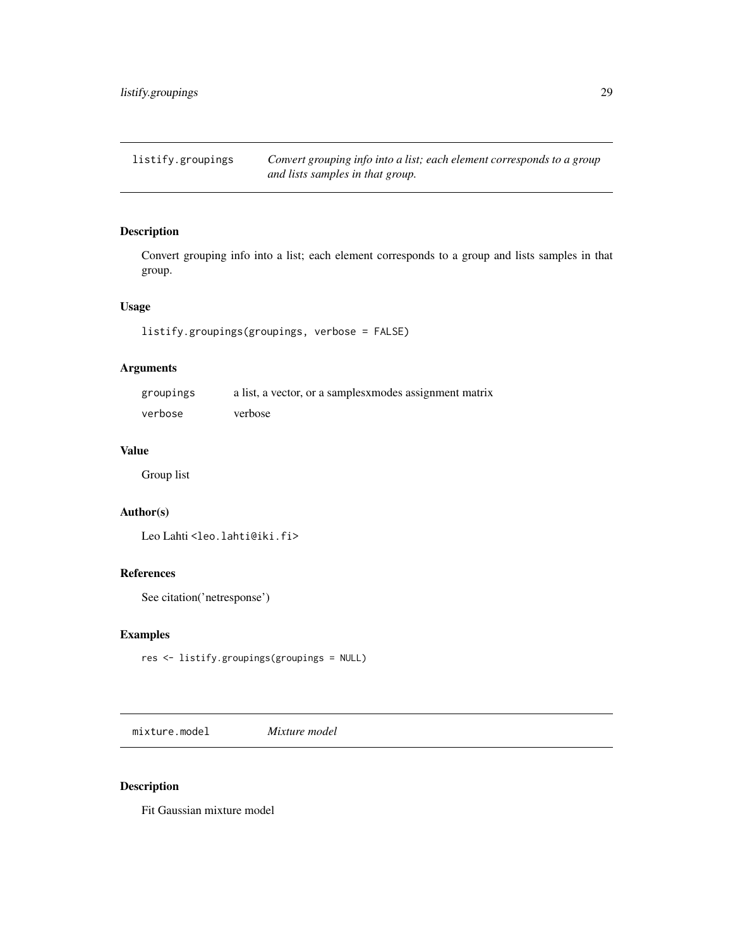<span id="page-28-0"></span>listify.groupings *Convert grouping info into a list; each element corresponds to a group and lists samples in that group.*

### Description

Convert grouping info into a list; each element corresponds to a group and lists samples in that group.

### Usage

listify.groupings(groupings, verbose = FALSE)

### Arguments

| groupings | a list, a vector, or a samples <i>xmodes</i> assignment matrix |
|-----------|----------------------------------------------------------------|
| verbose   | verbose                                                        |

### Value

Group list

### Author(s)

Leo Lahti<br/><a>
Leo.lahti@iki.fi>

### References

See citation('netresponse')

#### Examples

res <- listify.groupings(groupings = NULL)

mixture.model *Mixture model*

#### Description

Fit Gaussian mixture model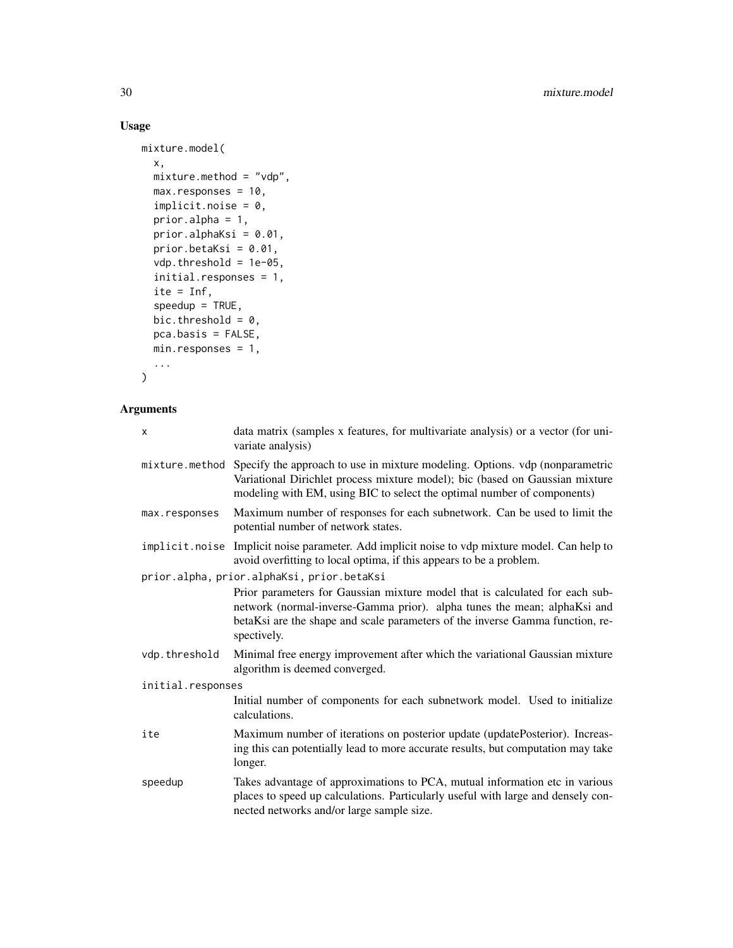### Usage

```
mixture.model(
 x,
 mixture.method = "vdp",
 max.responses = 10,
  implicit.noise = 0,prior.alpha = 1,
 prior.alphaKsi = 0.01,
 prior.betaKsi = 0.01,
 vdp.threshold = 1e-05,
  initial.responses = 1,
  ite = Inf,
  speedup = TRUE,bic.threshold = 0,
 pca.basis = FALSE,
 min.responses = 1,
  ...
\mathcal{L}
```

| X                 | data matrix (samples x features, for multivariate analysis) or a vector (for uni-<br>variate analysis)                                                                                                                                                   |
|-------------------|----------------------------------------------------------------------------------------------------------------------------------------------------------------------------------------------------------------------------------------------------------|
| mixture.method    | Specify the approach to use in mixture modeling. Options. vdp (nonparametric<br>Variational Dirichlet process mixture model); bic (based on Gaussian mixture<br>modeling with EM, using BIC to select the optimal number of components)                  |
| max.responses     | Maximum number of responses for each subnetwork. Can be used to limit the<br>potential number of network states.                                                                                                                                         |
|                   | implicit.noise Implicit noise parameter. Add implicit noise to vdp mixture model. Can help to<br>avoid overfitting to local optima, if this appears to be a problem.                                                                                     |
|                   | prior.alpha, prior.alphaKsi, prior.betaKsi                                                                                                                                                                                                               |
|                   | Prior parameters for Gaussian mixture model that is calculated for each sub-<br>network (normal-inverse-Gamma prior). alpha tunes the mean; alphaKsi and<br>betaKsi are the shape and scale parameters of the inverse Gamma function, re-<br>spectively. |
| vdp.threshold     | Minimal free energy improvement after which the variational Gaussian mixture<br>algorithm is deemed converged.                                                                                                                                           |
| initial.responses |                                                                                                                                                                                                                                                          |
|                   | Initial number of components for each subnetwork model. Used to initialize<br>calculations.                                                                                                                                                              |
| ite               | Maximum number of iterations on posterior update (updatePosterior). Increas-<br>ing this can potentially lead to more accurate results, but computation may take<br>longer.                                                                              |
| speedup           | Takes advantage of approximations to PCA, mutual information etc in various<br>places to speed up calculations. Particularly useful with large and densely con-<br>nected networks and/or large sample size.                                             |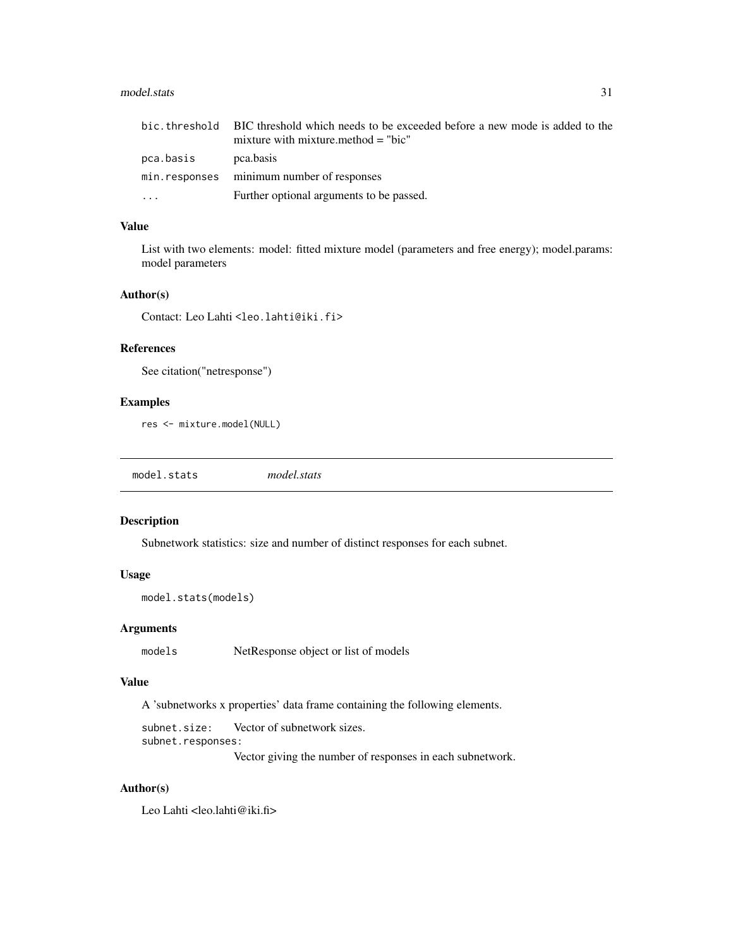#### <span id="page-30-0"></span>model.stats 31

|           | bic, threshold BIC threshold which needs to be exceeded before a new mode is added to the<br>mixture with mixture method $=$ "bic" |
|-----------|------------------------------------------------------------------------------------------------------------------------------------|
| pca.basis | pca.basis                                                                                                                          |
|           | min.responses minimum number of responses                                                                                          |
| $\cdots$  | Further optional arguments to be passed.                                                                                           |

### Value

List with two elements: model: fitted mixture model (parameters and free energy); model.params: model parameters

#### Author(s)

Contact: Leo Lahti<br/> <a></a>Lahti@iki.fi>

### References

```
See citation("netresponse")
```
### Examples

```
res <- mixture.model(NULL)
```
model.stats *model.stats*

### Description

Subnetwork statistics: size and number of distinct responses for each subnet.

#### Usage

```
model.stats(models)
```
### Arguments

models NetResponse object or list of models

#### Value

A 'subnetworks x properties' data frame containing the following elements.

subnet.size: Vector of subnetwork sizes. subnet.responses:

Vector giving the number of responses in each subnetwork.

### Author(s)

Leo Lahti <leo.lahti@iki.fi>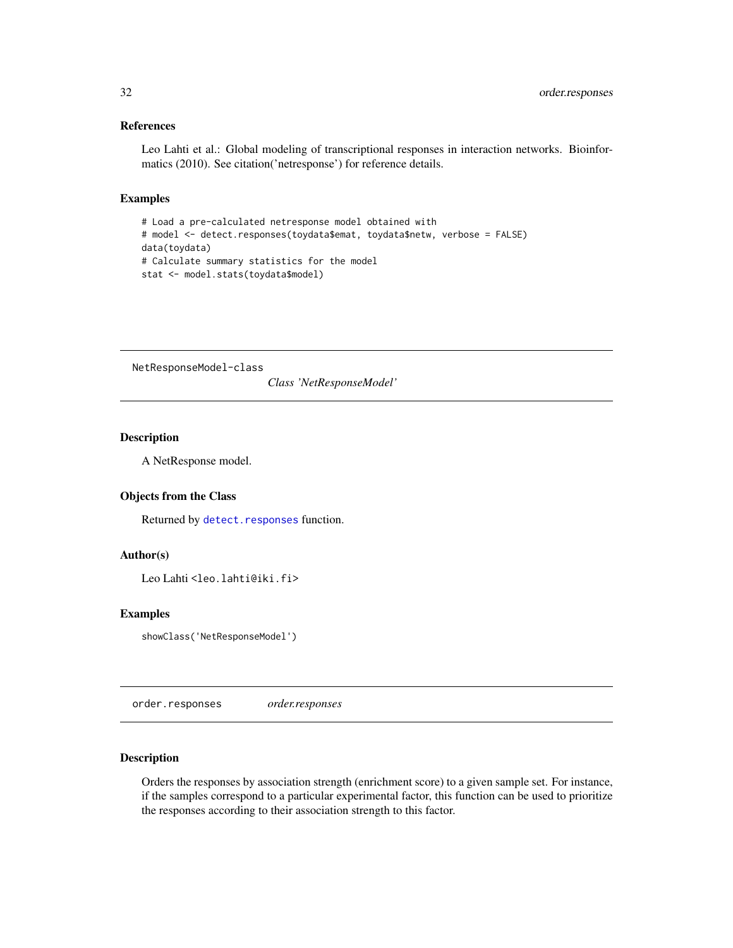<span id="page-31-0"></span>Leo Lahti et al.: Global modeling of transcriptional responses in interaction networks. Bioinformatics (2010). See citation('netresponse') for reference details.

#### Examples

```
# Load a pre-calculated netresponse model obtained with
# model <- detect.responses(toydata$emat, toydata$netw, verbose = FALSE)
data(toydata)
# Calculate summary statistics for the model
stat <- model.stats(toydata$model)
```
NetResponseModel-class

*Class 'NetResponseModel'*

### Description

A NetResponse model.

#### Objects from the Class

Returned by [detect.responses](#page-10-1) function.

### Author(s)

Leo Lahti<br />
<br />
Leo Lahti<br />
Leo Lahti<br />
Leo Lahti<br />
Leo Lahti<br />
Leo Lahti<br />
Leo Lahti<br />
Leo Lahti<br />
Leo Lahti<br />
Leo Lahti<br />
Leo Lahti<br />
Leo Lahti<br />
Leo Lahti<br />
Leo Lah

### Examples

showClass('NetResponseModel')

order.responses *order.responses*

### Description

Orders the responses by association strength (enrichment score) to a given sample set. For instance, if the samples correspond to a particular experimental factor, this function can be used to prioritize the responses according to their association strength to this factor.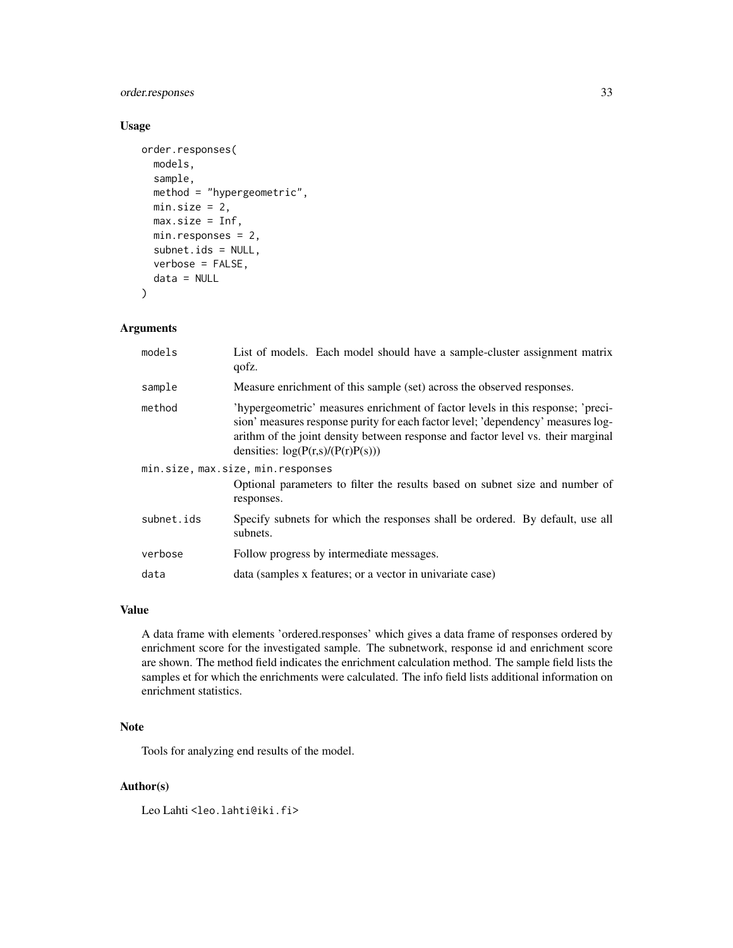### order.responses 33

### Usage

```
order.responses(
  models,
  sample,
  method = "hypergeometric",
 min.size = 2,
 max.size = Inf,min.responses = 2,
  subnet.ids = NULL,
  verbose = FALSE,
  data = NULL
)
```
### Arguments

| models     | List of models. Each model should have a sample-cluster assignment matrix<br>qofz.                                                                                                                                                                                                             |
|------------|------------------------------------------------------------------------------------------------------------------------------------------------------------------------------------------------------------------------------------------------------------------------------------------------|
| sample     | Measure enrichment of this sample (set) across the observed responses.                                                                                                                                                                                                                         |
| method     | 'hypergeometric' measures enrichment of factor levels in this response; 'preci-<br>sion' measures response purity for each factor level; 'dependency' measures log-<br>arithm of the joint density between response and factor level vs. their marginal<br>densities: $log(P(r,s)/(P(r)P(s)))$ |
|            | min.size, max.size, min.responses                                                                                                                                                                                                                                                              |
|            | Optional parameters to filter the results based on subnet size and number of<br>responses.                                                                                                                                                                                                     |
| subnet.ids | Specify subnets for which the responses shall be ordered. By default, use all<br>subnets.                                                                                                                                                                                                      |
| verbose    | Follow progress by intermediate messages.                                                                                                                                                                                                                                                      |
| data       | data (samples x features; or a vector in univariate case)                                                                                                                                                                                                                                      |

#### Value

A data frame with elements 'ordered.responses' which gives a data frame of responses ordered by enrichment score for the investigated sample. The subnetwork, response id and enrichment score are shown. The method field indicates the enrichment calculation method. The sample field lists the samples et for which the enrichments were calculated. The info field lists additional information on enrichment statistics.

#### Note

Tools for analyzing end results of the model.

#### Author(s)

Leo Lahti<br/> <a>
Leo.lahti@iki.fi>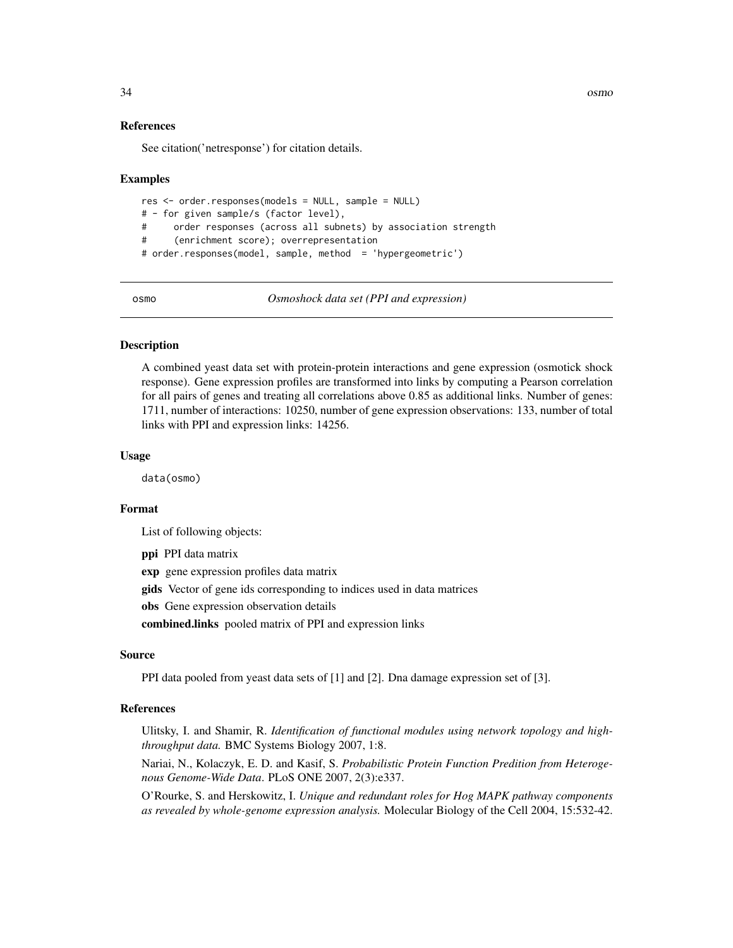34 osmo

#### References

See citation('netresponse') for citation details.

#### Examples

```
res <- order.responses(models = NULL, sample = NULL)
# - for given sample/s (factor level),
# order responses (across all subnets) by association strength
# (enrichment score); overrepresentation
# order.responses(model, sample, method = 'hypergeometric')
```
osmo *Osmoshock data set (PPI and expression)*

#### Description

A combined yeast data set with protein-protein interactions and gene expression (osmotick shock response). Gene expression profiles are transformed into links by computing a Pearson correlation for all pairs of genes and treating all correlations above 0.85 as additional links. Number of genes: 1711, number of interactions: 10250, number of gene expression observations: 133, number of total links with PPI and expression links: 14256.

#### Usage

data(osmo)

#### Format

List of following objects:

ppi PPI data matrix

exp gene expression profiles data matrix

gids Vector of gene ids corresponding to indices used in data matrices

obs Gene expression observation details

combined.links pooled matrix of PPI and expression links

#### Source

PPI data pooled from yeast data sets of [1] and [2]. Dna damage expression set of [3].

#### References

Ulitsky, I. and Shamir, R. *Identification of functional modules using network topology and highthroughput data.* BMC Systems Biology 2007, 1:8.

Nariai, N., Kolaczyk, E. D. and Kasif, S. *Probabilistic Protein Function Predition from Heterogenous Genome-Wide Data*. PLoS ONE 2007, 2(3):e337.

O'Rourke, S. and Herskowitz, I. *Unique and redundant roles for Hog MAPK pathway components as revealed by whole-genome expression analysis.* Molecular Biology of the Cell 2004, 15:532-42.

<span id="page-33-0"></span>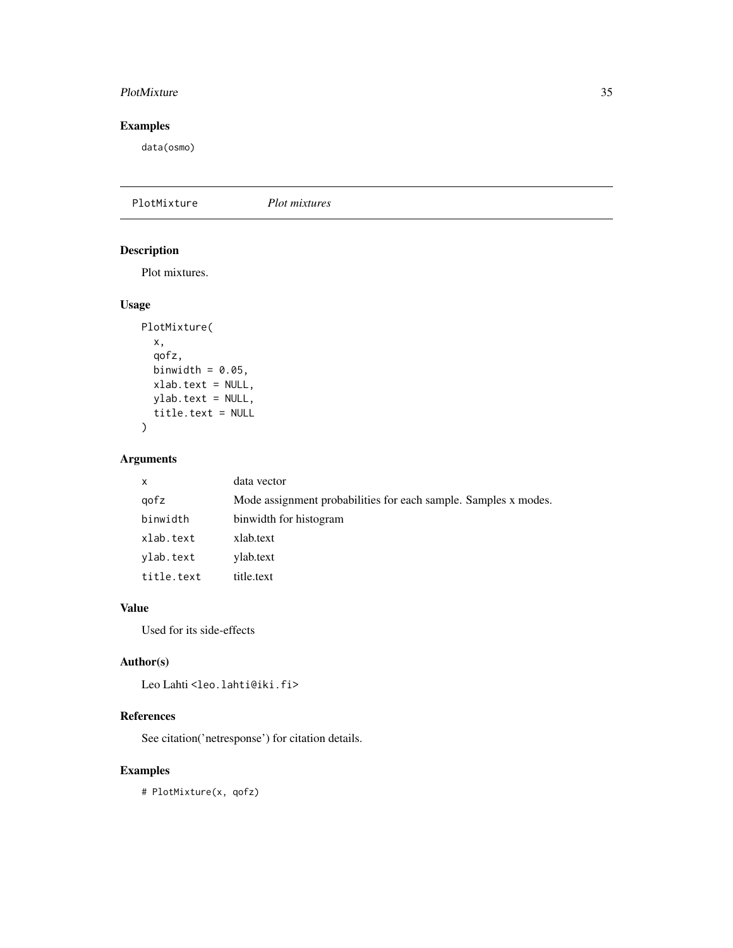#### <span id="page-34-0"></span>PlotMixture 35

### Examples

data(osmo)

PlotMixture *Plot mixtures*

### Description

Plot mixtures.

### Usage

```
PlotMixture(
  x,
  qofz,
 binwidth = 0.05,
 xlab.text = NULL,
 ylab.text = NULL,
  title.text = NULL
)
```
### Arguments

| X          | data vector                                                     |
|------------|-----------------------------------------------------------------|
| gofz       | Mode assignment probabilities for each sample. Samples x modes. |
| binwidth   | binwidth for histogram                                          |
| xlab.text  | xlab.text                                                       |
| ylab.text  | ylab.text                                                       |
| title.text | title.text                                                      |

### Value

Used for its side-effects

### Author(s)

Leo Lahti<br/> <a>
Leo.lahti@iki.fi>

### References

See citation('netresponse') for citation details.

### Examples

# PlotMixture(x, qofz)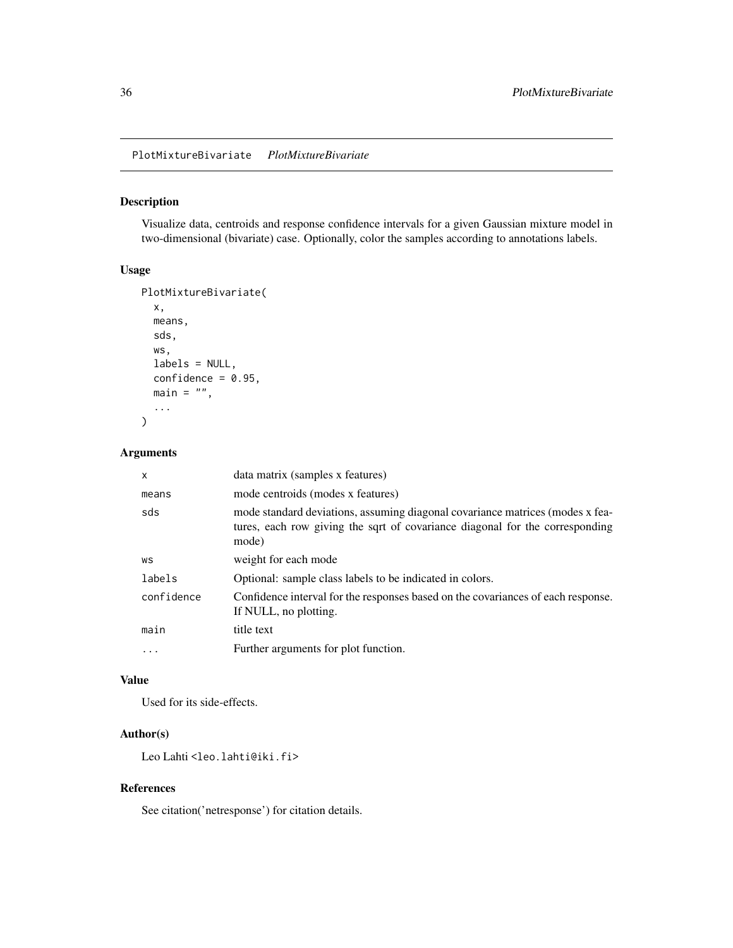<span id="page-35-0"></span>PlotMixtureBivariate *PlotMixtureBivariate*

#### Description

Visualize data, centroids and response confidence intervals for a given Gaussian mixture model in two-dimensional (bivariate) case. Optionally, color the samples according to annotations labels.

#### Usage

```
PlotMixtureBivariate(
  x,
  means,
  sds,
  ws,
  labels = NULL,
  confidence = 0.95,
  main = "",...
\mathcal{L}
```
### Arguments

| $\mathsf{x}$ | data matrix (samples x features)                                                                                                                                       |
|--------------|------------------------------------------------------------------------------------------------------------------------------------------------------------------------|
| means        | mode centroids (modes x features)                                                                                                                                      |
| sds          | mode standard deviations, assuming diagonal covariance matrices (modes x fea-<br>tures, each row giving the sqrt of covariance diagonal for the corresponding<br>mode) |
| WS           | weight for each mode                                                                                                                                                   |
| labels       | Optional: sample class labels to be indicated in colors.                                                                                                               |
| confidence   | Confidence interval for the responses based on the covariances of each response.<br>If NULL, no plotting.                                                              |
| main         | title text                                                                                                                                                             |
| $\ddotsc$    | Further arguments for plot function.                                                                                                                                   |

### Value

Used for its side-effects.

### Author(s)

Leo Lahti<br/> <a>
Leo.lahti@iki.fi>

### References

See citation('netresponse') for citation details.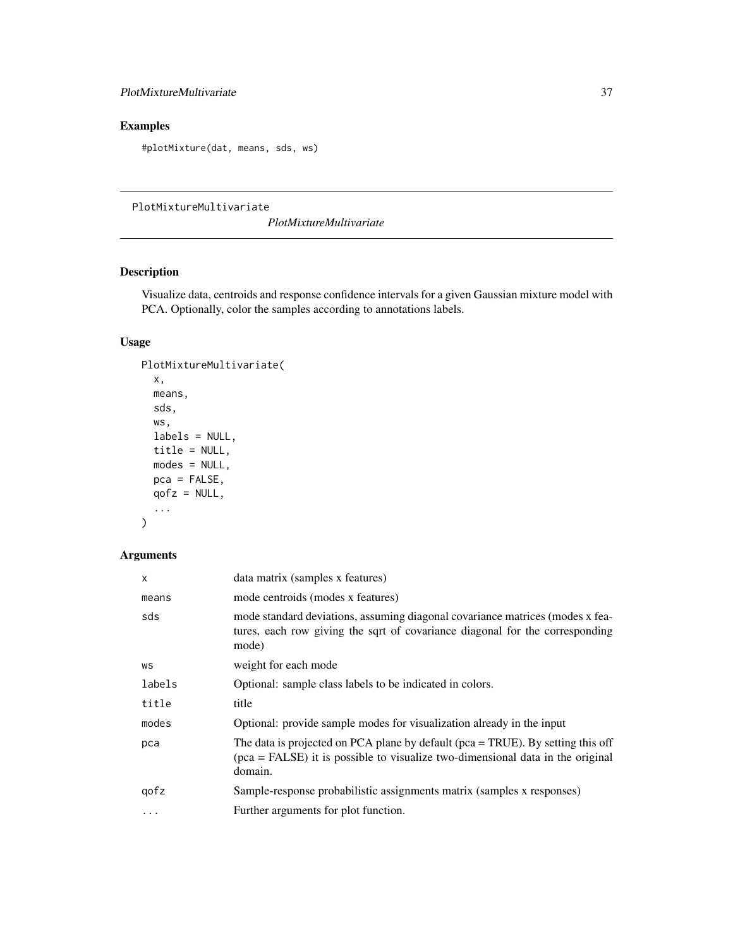### <span id="page-36-0"></span>PlotMixtureMultivariate 37

## Examples

#plotMixture(dat, means, sds, ws)

PlotMixtureMultivariate

*PlotMixtureMultivariate*

### Description

Visualize data, centroids and response confidence intervals for a given Gaussian mixture model with PCA. Optionally, color the samples according to annotations labels.

### Usage

```
PlotMixtureMultivariate(
  x,
 means,
  sds,
 ws,
 labels = NULL,
 title = NULL,
 modes = NULL,
 pca = FALSE,qofz = NULL,...
\mathcal{L}
```

| X      | data matrix (samples x features)                                                                                                                                                   |
|--------|------------------------------------------------------------------------------------------------------------------------------------------------------------------------------------|
| means  | mode centroids (modes x features)                                                                                                                                                  |
| sds    | mode standard deviations, assuming diagonal covariance matrices (modes x fea-<br>tures, each row giving the sqrt of covariance diagonal for the corresponding<br>mode)             |
| WS     | weight for each mode                                                                                                                                                               |
| labels | Optional: sample class labels to be indicated in colors.                                                                                                                           |
| title  | title                                                                                                                                                                              |
| modes  | Optional: provide sample modes for visualization already in the input                                                                                                              |
| pca    | The data is projected on PCA plane by default ( $pca = TRUE$ ). By setting this off<br>$pca = FALSE$ ) it is possible to visualize two-dimensional data in the original<br>domain. |
| gofz   | Sample-response probabilistic assignments matrix (samples x responses)                                                                                                             |
| .      | Further arguments for plot function.                                                                                                                                               |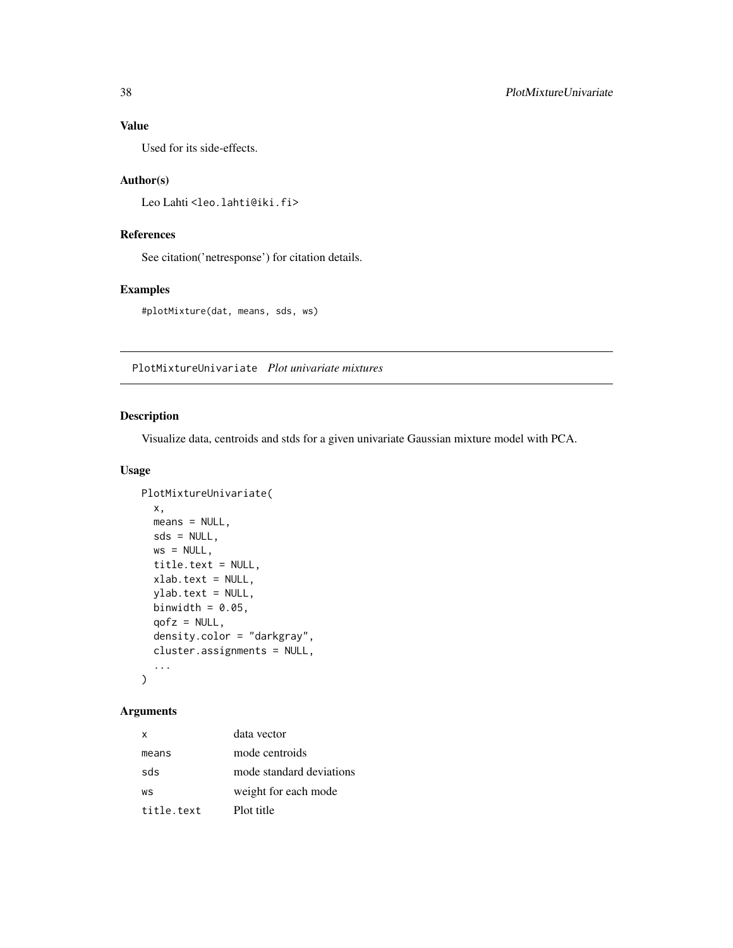### Value

Used for its side-effects.

### Author(s)

```
Leo Lahti<br/><a>
Leo.lahti@iki.fi>
```
### References

See citation('netresponse') for citation details.

### Examples

#plotMixture(dat, means, sds, ws)

PlotMixtureUnivariate *Plot univariate mixtures*

### Description

Visualize data, centroids and stds for a given univariate Gaussian mixture model with PCA.

#### Usage

```
PlotMixtureUnivariate(
  x,
 means = NULL,sds = NULL,ws = NULL,title.text = NULL,
 xlab.text = NULL,
  ylab.text = NULL,
 binwidth = 0.05,
  qofz = NULL,density.color = "darkgray",
  cluster.assignments = NULL,
  ...
\mathcal{L}
```

| $\times$   | data vector              |
|------------|--------------------------|
| means      | mode centroids           |
| sds        | mode standard deviations |
| WS         | weight for each mode     |
| title.text | Plot title               |

<span id="page-37-0"></span>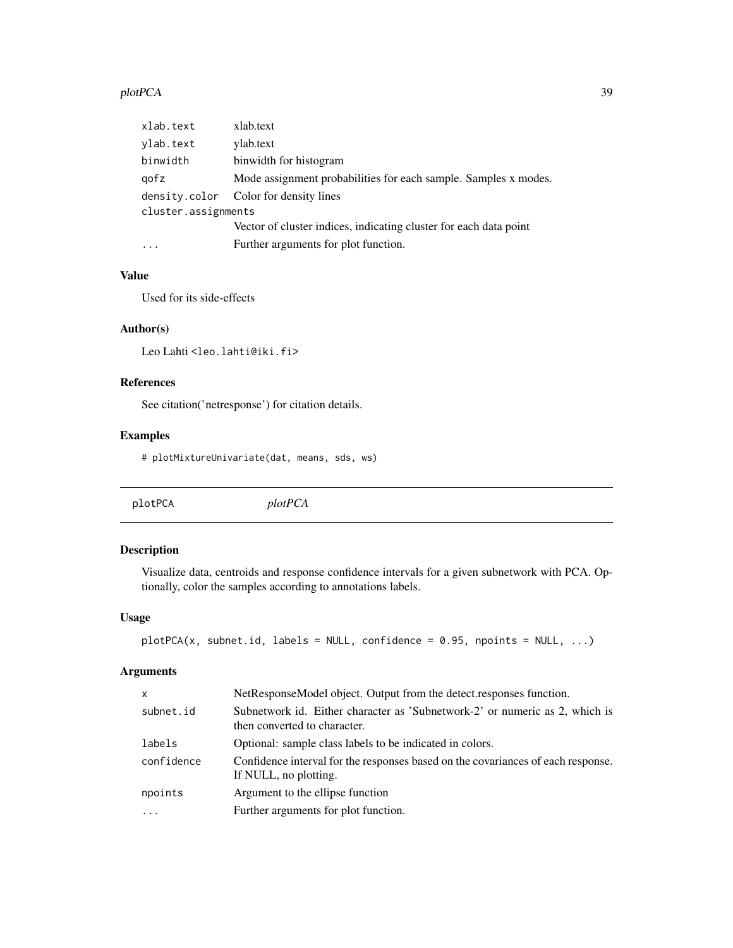#### <span id="page-38-0"></span>plotPCA 39

| xlab.text           | xlab.text                                                         |
|---------------------|-------------------------------------------------------------------|
| ylab.text           | ylab.text                                                         |
| binwidth            | binwidth for histogram                                            |
| gofz                | Mode assignment probabilities for each sample. Samples x modes.   |
|                     | density.color Color for density lines                             |
| cluster.assignments |                                                                   |
|                     | Vector of cluster indices, indicating cluster for each data point |
| .                   | Further arguments for plot function.                              |

### Value

Used for its side-effects

### Author(s)

```
Leo Lahti<br/><a>
Leo.lahti@iki.fi>
```
### References

See citation('netresponse') for citation details.

### Examples

# plotMixtureUnivariate(dat, means, sds, ws)

plotPCA *plotPCA*

### Description

Visualize data, centroids and response confidence intervals for a given subnetwork with PCA. Optionally, color the samples according to annotations labels.

### Usage

```
plotPCA(x, subnet.id, labels = NULL, confidence = 0.95, npoints = NULL, ...)
```

| $\mathsf{x}$ | NetResponseModel object. Output from the detect. responses function.                                        |
|--------------|-------------------------------------------------------------------------------------------------------------|
| subnet.id    | Subnetwork id. Either character as 'Subnetwork-2' or numeric as 2, which is<br>then converted to character. |
| labels       | Optional: sample class labels to be indicated in colors.                                                    |
| confidence   | Confidence interval for the responses based on the covariances of each response.<br>If NULL, no plotting.   |
| npoints      | Argument to the ellipse function                                                                            |
| $\ddotsc$    | Further arguments for plot function.                                                                        |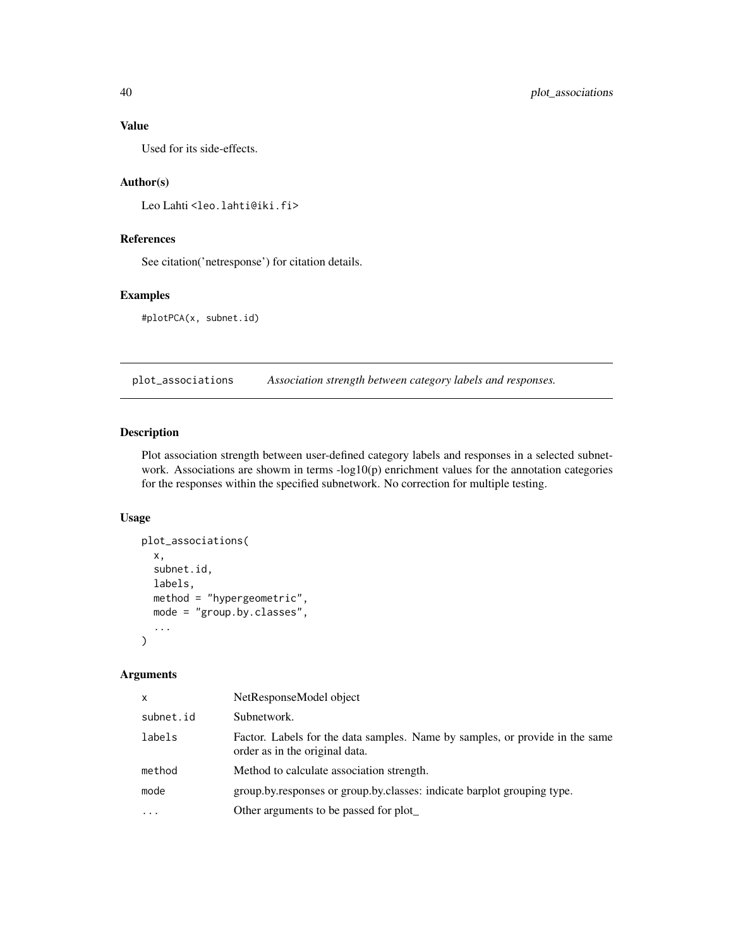### Value

Used for its side-effects.

#### Author(s)

```
Leo Lahti<br/><a>
Leo.lahti@iki.fi>
```
### References

See citation('netresponse') for citation details.

### Examples

#plotPCA(x, subnet.id)

plot\_associations *Association strength between category labels and responses.*

#### Description

Plot association strength between user-defined category labels and responses in a selected subnetwork. Associations are showm in terms  $-log10(p)$  enrichment values for the annotation categories for the responses within the specified subnetwork. No correction for multiple testing.

### Usage

```
plot_associations(
  x,
  subnet.id,
  labels,
 method = "hypergeometric",
 mode = "group.by.classes",
  ...
)
```

| x         | NetResponseModel object                                                                                        |
|-----------|----------------------------------------------------------------------------------------------------------------|
| subnet.id | Subnetwork.                                                                                                    |
| labels    | Factor. Labels for the data samples. Name by samples, or provide in the same<br>order as in the original data. |
| method    | Method to calculate association strength.                                                                      |
| mode      | group.by.responses or group.by.classes: indicate barplot grouping type.                                        |
| $\ddotsc$ | Other arguments to be passed for plot_                                                                         |

<span id="page-39-0"></span>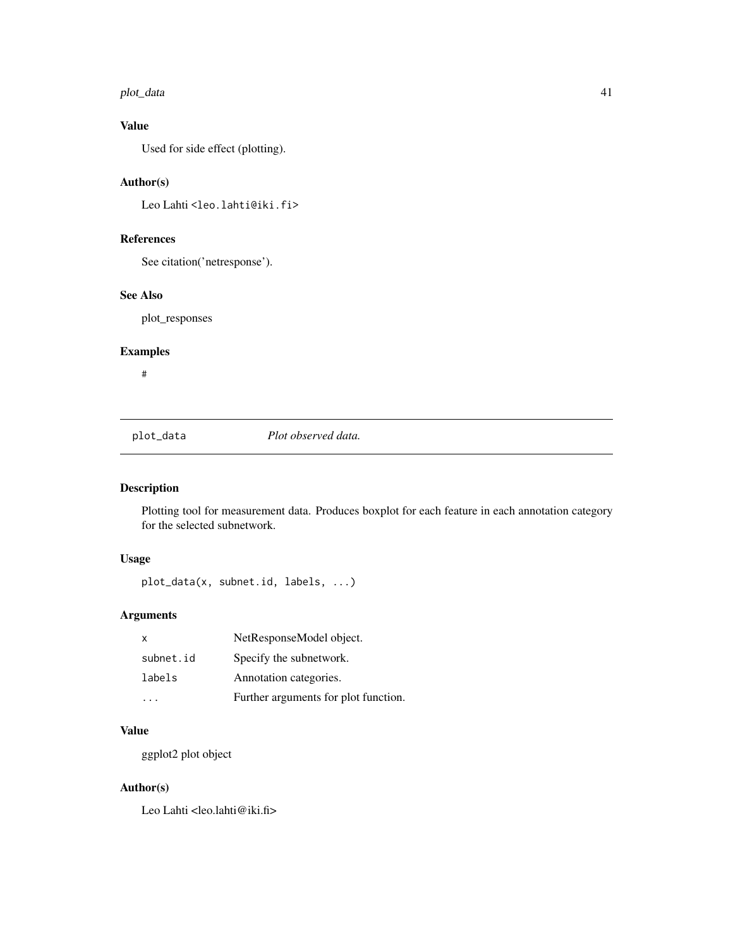#### <span id="page-40-0"></span>plot\_data 41

### Value

Used for side effect (plotting).

### Author(s)

Leo Lahti<br/> <a>
Leo.lahti@iki.fi>

### References

See citation('netresponse').

### See Also

plot\_responses

### Examples

#

plot\_data *Plot observed data.*

## Description

Plotting tool for measurement data. Produces boxplot for each feature in each annotation category for the selected subnetwork.

### Usage

plot\_data(x, subnet.id, labels, ...)

### Arguments

| $\mathsf{x}$ | NetResponseModel object.             |
|--------------|--------------------------------------|
| subnet.id    | Specify the subnetwork.              |
| labels       | Annotation categories.               |
|              | Further arguments for plot function. |

### Value

ggplot2 plot object

### Author(s)

Leo Lahti <leo.lahti@iki.fi>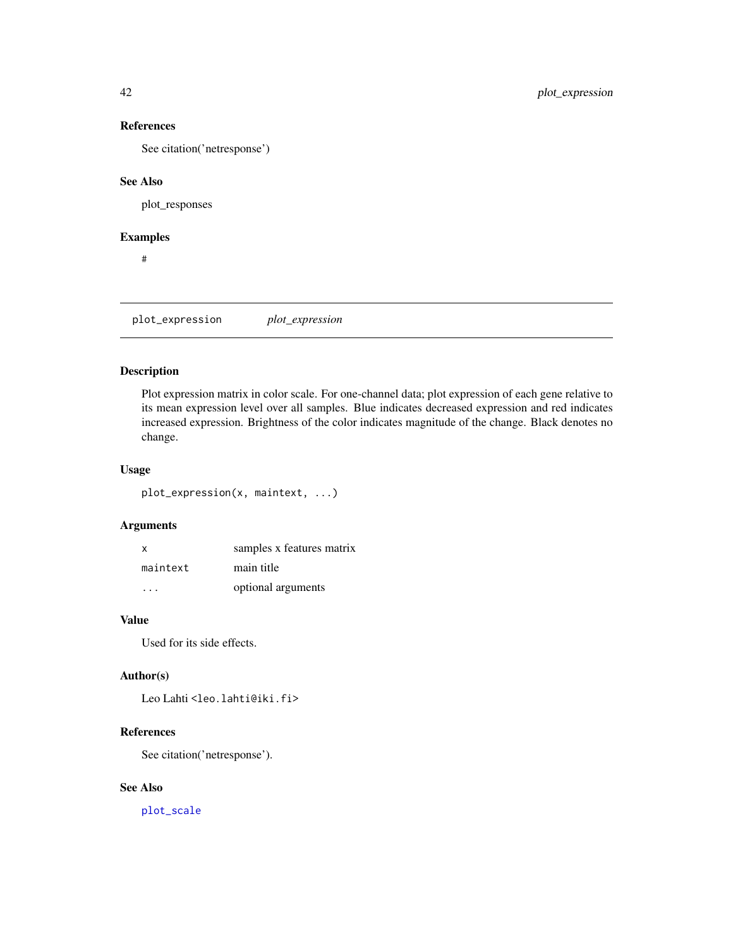See citation('netresponse')

### See Also

plot\_responses

### Examples

#

plot\_expression *plot\_expression*

#### Description

Plot expression matrix in color scale. For one-channel data; plot expression of each gene relative to its mean expression level over all samples. Blue indicates decreased expression and red indicates increased expression. Brightness of the color indicates magnitude of the change. Black denotes no change.

#### Usage

plot\_expression(x, maintext, ...)

### Arguments

| X        | samples x features matrix |
|----------|---------------------------|
| maintext | main title                |
|          | optional arguments        |

### Value

Used for its side effects.

#### Author(s)

Leo Lahti<br/> <a>
Leo.lahti@iki.fi>

### References

See citation('netresponse').

### See Also

[plot\\_scale](#page-46-1)

<span id="page-41-0"></span>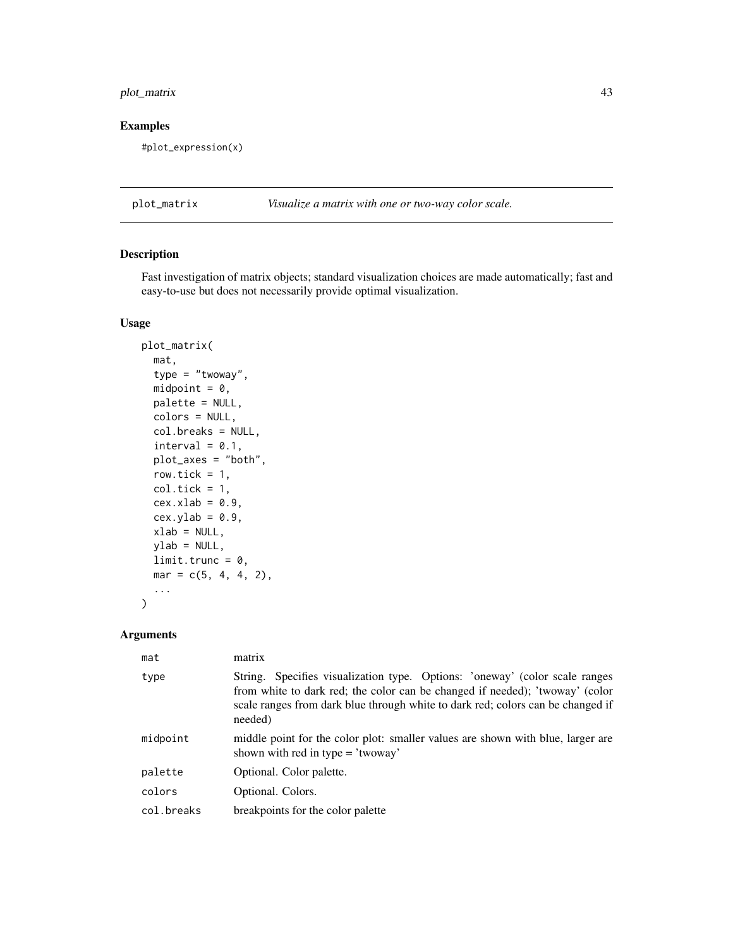### <span id="page-42-0"></span>plot\_matrix 43

### Examples

#plot\_expression(x)

plot\_matrix *Visualize a matrix with one or two-way color scale.*

### Description

Fast investigation of matrix objects; standard visualization choices are made automatically; fast and easy-to-use but does not necessarily provide optimal visualization.

#### Usage

```
plot_matrix(
  mat,
  type = "twoway",
  midpoint = 0,
 palette = NULL,
  colors = NULL,
  col.breaks = NULL,
  interval = 0.1,
 plot_axes = "both",
  row.tick = 1,
  col.tick = 1,cex.xlab = 0.9,
  cex.ylab = 0.9,
  xlab = NULL,ylab = NULL,
  limit.trunc = \theta,
 mar = c(5, 4, 4, 2),...
)
```

| mat        | matrix                                                                                                                                                                                                                                                    |
|------------|-----------------------------------------------------------------------------------------------------------------------------------------------------------------------------------------------------------------------------------------------------------|
| type       | String. Specifies visualization type. Options: 'oneway' (color scale ranges<br>from white to dark red; the color can be changed if needed); 'twoway' (color<br>scale ranges from dark blue through white to dark red; colors can be changed if<br>needed) |
| midpoint   | middle point for the color plot: smaller values are shown with blue, larger are<br>shown with red in type $=$ 'twoway'                                                                                                                                    |
| palette    | Optional. Color palette.                                                                                                                                                                                                                                  |
| colors     | Optional. Colors.                                                                                                                                                                                                                                         |
| col.breaks | breakpoints for the color palette                                                                                                                                                                                                                         |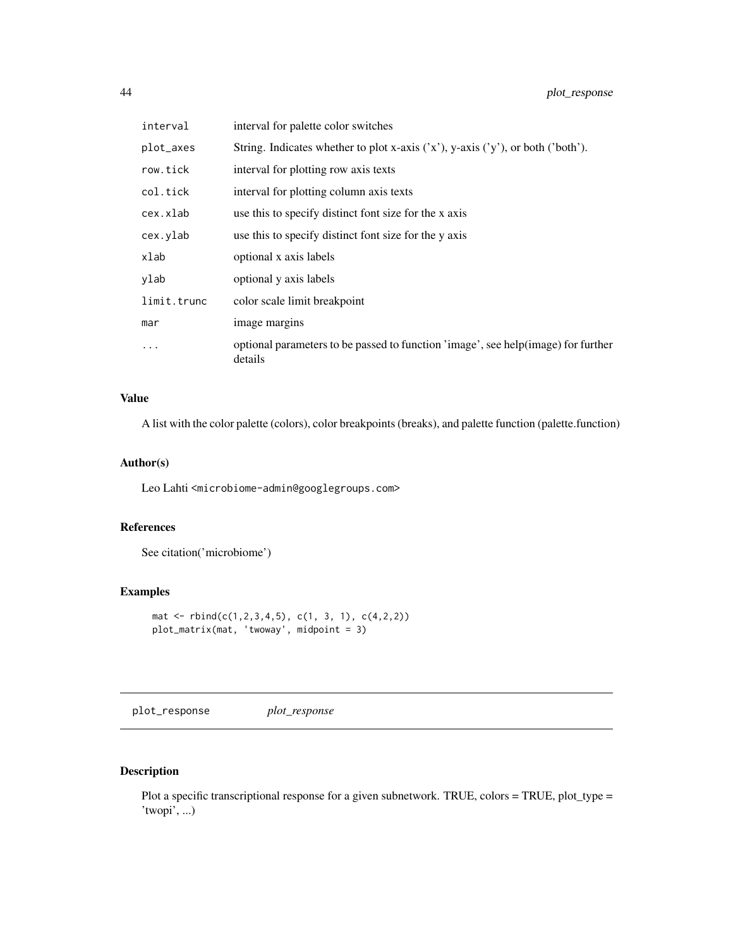<span id="page-43-0"></span>

| interval    | interval for palette color switches                                                          |
|-------------|----------------------------------------------------------------------------------------------|
| plot_axes   | String. Indicates whether to plot x-axis $('x'), y-axis ('y'),$ or both $('both').$          |
| row.tick    | interval for plotting row axis texts                                                         |
| col.tick    | interval for plotting column axis texts                                                      |
| cex.xlab    | use this to specify distinct font size for the x axis                                        |
| cex.ylab    | use this to specify distinct font size for the y axis                                        |
| xlab        | optional x axis labels                                                                       |
| vlab        | optional y axis labels                                                                       |
| limit.trunc | color scale limit breakpoint                                                                 |
| mar         | image margins                                                                                |
| $\cdots$    | optional parameters to be passed to function 'image', see help(image) for further<br>details |

### Value

A list with the color palette (colors), color breakpoints (breaks), and palette function (palette.function)

### Author(s)

Leo Lahti <microbiome-admin@googlegroups.com>

### References

See citation('microbiome')

### Examples

```
mat \le rbind(c(1,2,3,4,5), c(1, 3, 1), c(4,2,2))
plot_matrix(mat, 'twoway', midpoint = 3)
```
plot\_response *plot\_response*

### Description

Plot a specific transcriptional response for a given subnetwork. TRUE, colors = TRUE, plot\_type = 'twopi', ...)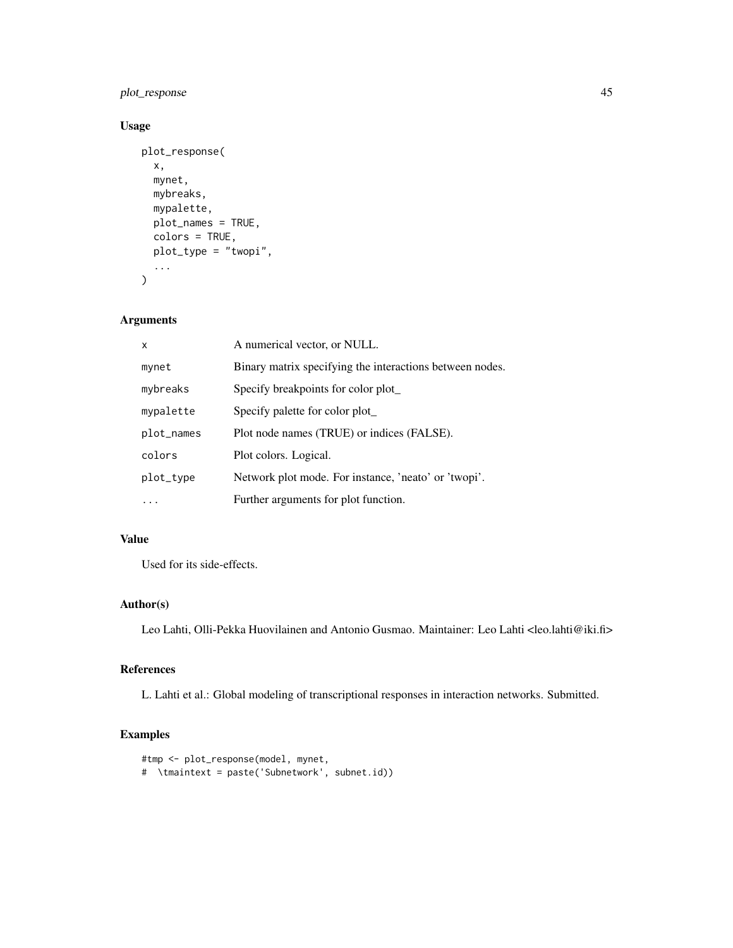plot\_response 45

### Usage

```
plot_response(
  x,
  mynet,
  mybreaks,
  mypalette,
  plot_names = TRUE,
  colors = TRUE,
  plot_type = "twopi",
  ...
\mathcal{L}
```
### Arguments

| X          | A numerical vector, or NULL.                             |
|------------|----------------------------------------------------------|
| mynet      | Binary matrix specifying the interactions between nodes. |
| mybreaks   | Specify breakpoints for color plot                       |
| mypalette  | Specify palette for color plot_                          |
| plot_names | Plot node names (TRUE) or indices (FALSE).               |
| colors     | Plot colors. Logical.                                    |
| plot_type  | Network plot mode. For instance, 'neato' or 'twopi'.     |
|            | Further arguments for plot function.                     |

### Value

Used for its side-effects.

### Author(s)

Leo Lahti, Olli-Pekka Huovilainen and Antonio Gusmao. Maintainer: Leo Lahti <leo.lahti@iki.fi>

### References

L. Lahti et al.: Global modeling of transcriptional responses in interaction networks. Submitted.

### Examples

```
#tmp <- plot_response(model, mynet,
# \tmaintext = paste('Subnetwork', subnet.id))
```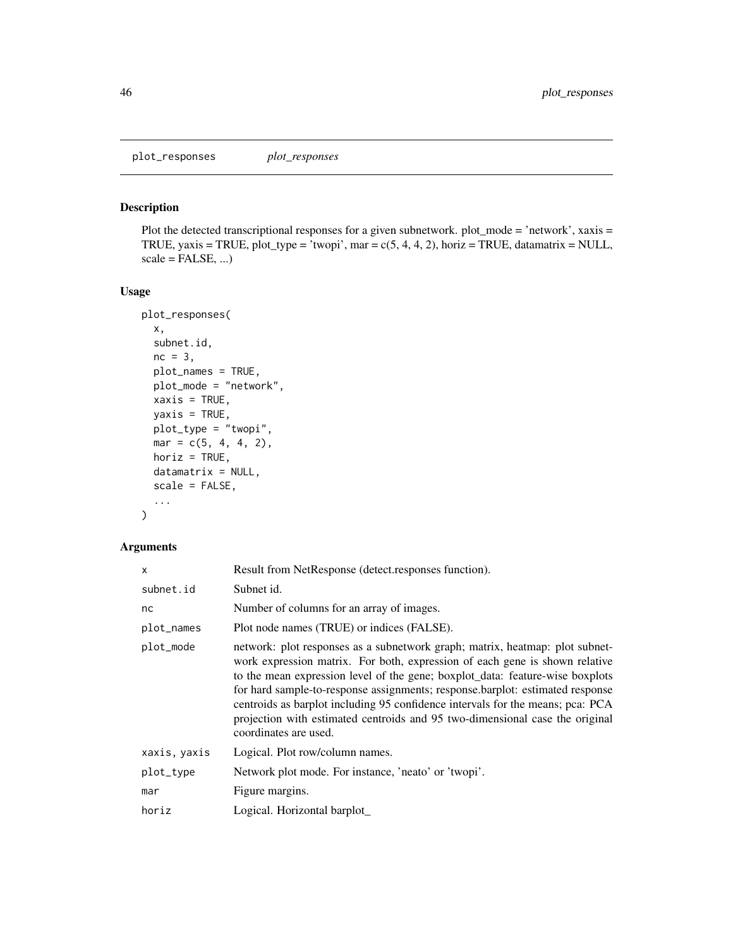### <span id="page-45-0"></span>Description

Plot the detected transcriptional responses for a given subnetwork. plot\_mode = 'network', xaxis = TRUE, yaxis = TRUE, plot\_type = 'twopi', mar =  $c(5, 4, 4, 2)$ , horiz = TRUE, datamatrix = NULL,  $scale = FALSE, ...$ 

#### Usage

```
plot_responses(
 x,
  subnet.id,
 nc = 3,
 plot_names = TRUE,
 plot_mode = "network",
 xaxis = TRUE,yaxis = TRUE,
 plot_type = "twopi",
 mar = c(5, 4, 4, 2),horiz = TRUE,
 datamatrix = NULL,scale = FALSE,
  ...
)
```

| x            | Result from NetResponse (detect.responses function).                                                                                                                                                                                                                                                                                                                                                                                                                                                                     |
|--------------|--------------------------------------------------------------------------------------------------------------------------------------------------------------------------------------------------------------------------------------------------------------------------------------------------------------------------------------------------------------------------------------------------------------------------------------------------------------------------------------------------------------------------|
| subnet.id    | Subnet id.                                                                                                                                                                                                                                                                                                                                                                                                                                                                                                               |
| nc           | Number of columns for an array of images.                                                                                                                                                                                                                                                                                                                                                                                                                                                                                |
| plot_names   | Plot node names (TRUE) or indices (FALSE).                                                                                                                                                                                                                                                                                                                                                                                                                                                                               |
| plot_mode    | network: plot responses as a subnetwork graph; matrix, heatmap: plot subnet-<br>work expression matrix. For both, expression of each gene is shown relative<br>to the mean expression level of the gene; boxplot_data: feature-wise boxplots<br>for hard sample-to-response assignments; response.barplot: estimated response<br>centroids as barplot including 95 confidence intervals for the means; pca: PCA<br>projection with estimated centroids and 95 two-dimensional case the original<br>coordinates are used. |
| xaxis, yaxis | Logical. Plot row/column names.                                                                                                                                                                                                                                                                                                                                                                                                                                                                                          |
| plot_type    | Network plot mode. For instance, 'neato' or 'twopi'.                                                                                                                                                                                                                                                                                                                                                                                                                                                                     |
| mar          | Figure margins.                                                                                                                                                                                                                                                                                                                                                                                                                                                                                                          |
| horiz        | Logical. Horizontal barplot                                                                                                                                                                                                                                                                                                                                                                                                                                                                                              |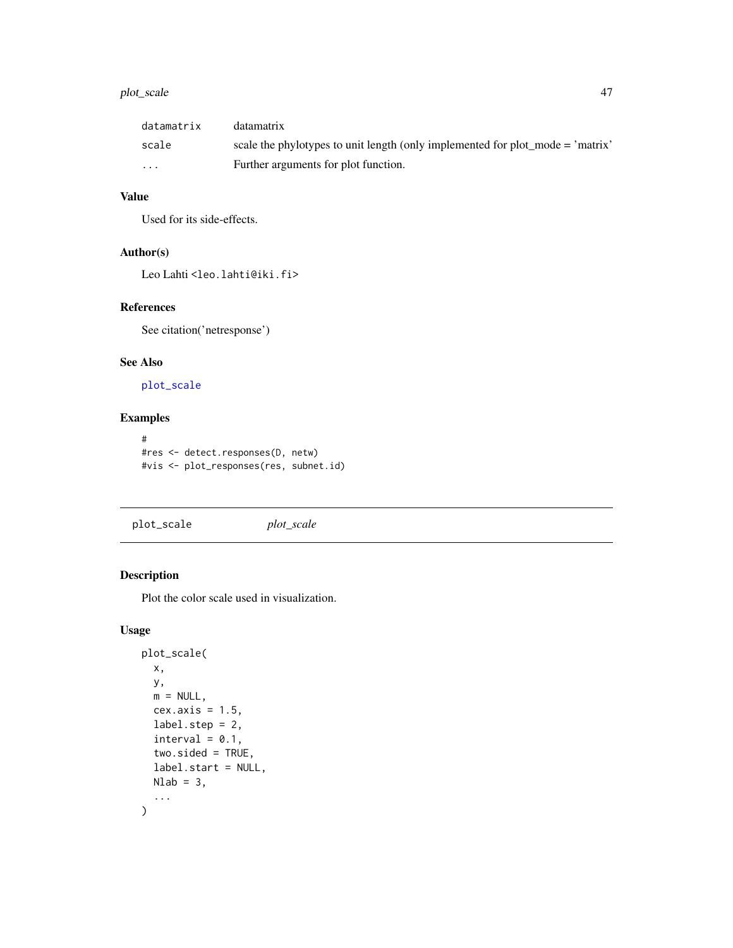### <span id="page-46-0"></span>plot\_scale 47

| datamatrix              | datamatrix                                                                     |
|-------------------------|--------------------------------------------------------------------------------|
| scale                   | scale the phylotypes to unit length (only implemented for plot_mode = 'matrix' |
| $\cdot$ $\cdot$ $\cdot$ | Further arguments for plot function.                                           |

### Value

Used for its side-effects.

### Author(s)

Leo Lahti<br/><a>
Leo.lahti@iki.fi>

### References

See citation('netresponse')

### See Also

[plot\\_scale](#page-46-1)

### Examples

```
#
#res <- detect.responses(D, netw)
#vis <- plot_responses(res, subnet.id)
```
<span id="page-46-1"></span>plot\_scale *plot\_scale*

### Description

Plot the color scale used in visualization.

### Usage

```
plot_scale(
 x,
 y,
 m = NULL,cex.axis = 1.5,label.step = 2,
 interval = 0.1,
 two.sided = TRUE,
 label.start = NULL,
 Nlab = 3,
  ...
)
```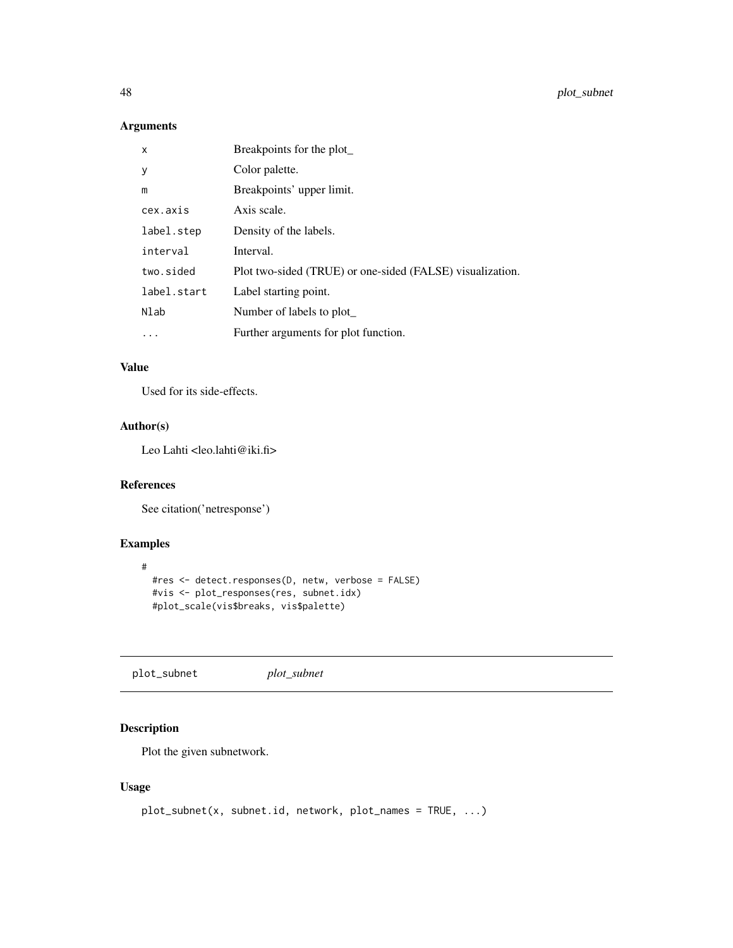<span id="page-47-0"></span>48 plot\_subnet

## Arguments

| X           | Breakpoints for the plot_                                 |
|-------------|-----------------------------------------------------------|
| У           | Color palette.                                            |
| m           | Breakpoints' upper limit.                                 |
| cex.axis    | Axis scale.                                               |
| label.step  | Density of the labels.                                    |
| interval    | Interval.                                                 |
| two.sided   | Plot two-sided (TRUE) or one-sided (FALSE) visualization. |
| label.start | Label starting point.                                     |
| Nlab        | Number of labels to plot                                  |
| $\cdots$    | Further arguments for plot function.                      |

### Value

Used for its side-effects.

### Author(s)

Leo Lahti <leo.lahti@iki.fi>

#### References

See citation('netresponse')

### Examples

```
#
  #res <- detect.responses(D, netw, verbose = FALSE)
  #vis <- plot_responses(res, subnet.idx)
  #plot_scale(vis$breaks, vis$palette)
```
plot\_subnet *plot\_subnet*

### Description

Plot the given subnetwork.

### Usage

```
plot_subnet(x, subnet.id, network, plot_names = TRUE, ...)
```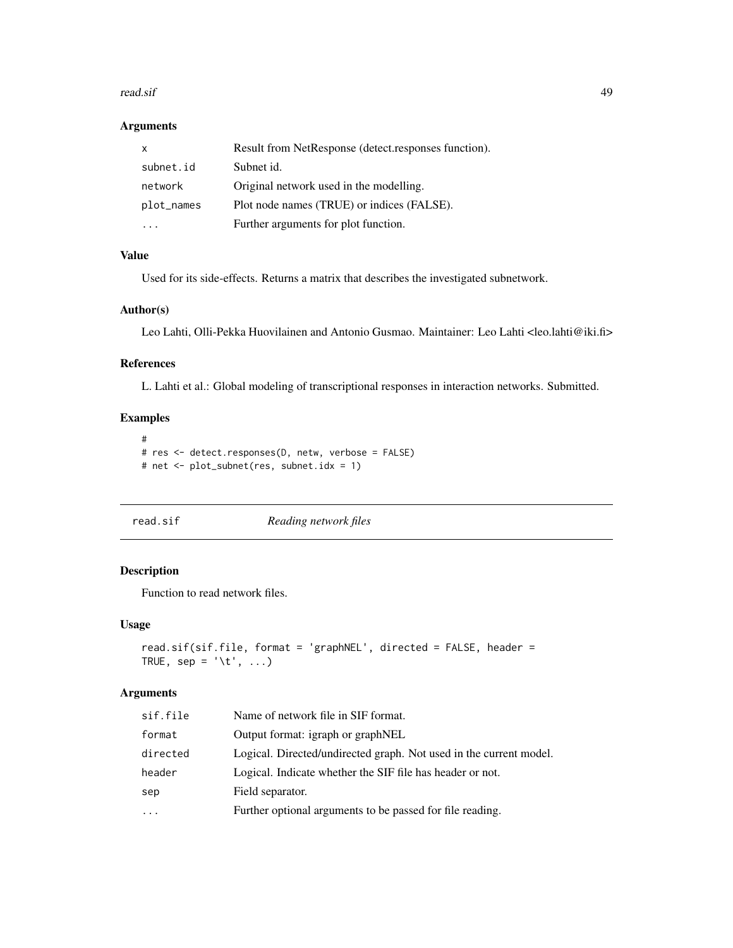#### <span id="page-48-0"></span>read.sif 49

### Arguments

| x          | Result from NetResponse (detect.responses function). |
|------------|------------------------------------------------------|
| subnet.id  | Subnet id.                                           |
| network    | Original network used in the modelling.              |
| plot_names | Plot node names (TRUE) or indices (FALSE).           |
|            | Further arguments for plot function.                 |

### Value

Used for its side-effects. Returns a matrix that describes the investigated subnetwork.

#### Author(s)

Leo Lahti, Olli-Pekka Huovilainen and Antonio Gusmao. Maintainer: Leo Lahti <leo.lahti@iki.fi>

### References

L. Lahti et al.: Global modeling of transcriptional responses in interaction networks. Submitted.

### Examples

```
#
# res <- detect.responses(D, netw, verbose = FALSE)
# net <- plot_subnet(res, subnet.idx = 1)
```
read.sif *Reading network files*

### Description

Function to read network files.

#### Usage

```
read.sif(sif.file, format = 'graphNEL', directed = FALSE, header =
TRUE, sep = '\t', ...)
```

| sif.file | Name of network file in SIF format.                                |
|----------|--------------------------------------------------------------------|
| format   | Output format: igraph or graphNEL                                  |
| directed | Logical. Directed/undirected graph. Not used in the current model. |
| header   | Logical. Indicate whether the SIF file has header or not.          |
| sep      | Field separator.                                                   |
| .        | Further optional arguments to be passed for file reading.          |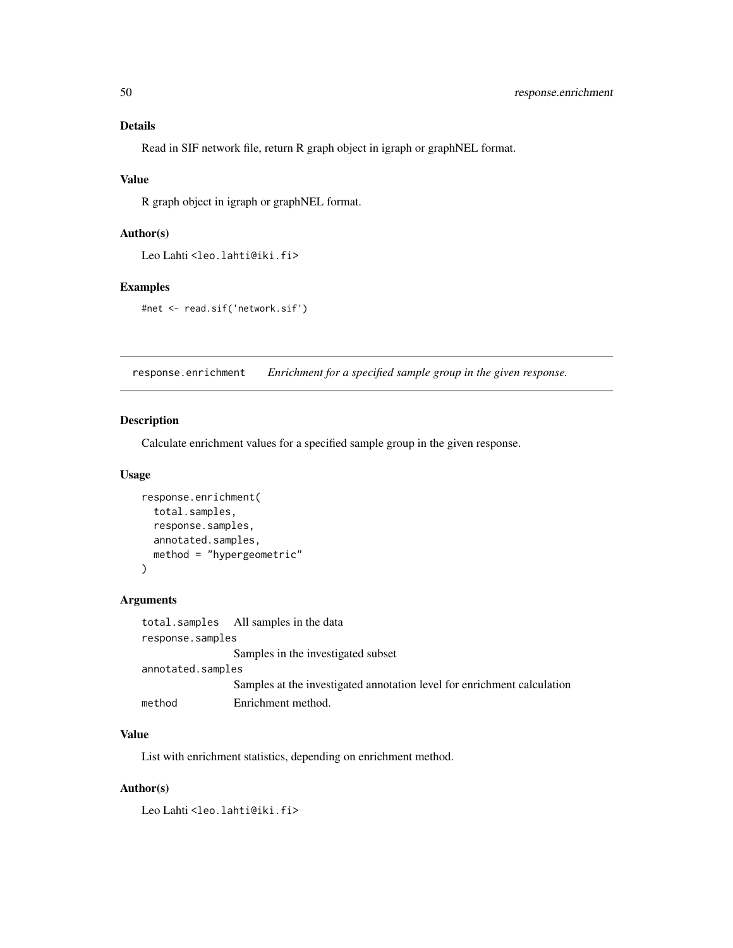#### <span id="page-49-0"></span>Details

Read in SIF network file, return R graph object in igraph or graphNEL format.

### Value

R graph object in igraph or graphNEL format.

### Author(s)

Leo Lahti<br/><a>
Leo.lahti@iki.fi>

#### Examples

```
#net <- read.sif('network.sif')
```
response.enrichment *Enrichment for a specified sample group in the given response.*

### Description

Calculate enrichment values for a specified sample group in the given response.

### Usage

```
response.enrichment(
  total.samples,
  response.samples,
  annotated.samples,
  method = "hypergeometric"
\mathcal{L}
```
### Arguments

|                   | total.samples All samples in the data                                   |
|-------------------|-------------------------------------------------------------------------|
| response.samples  |                                                                         |
|                   | Samples in the investigated subset                                      |
| annotated.samples |                                                                         |
|                   | Samples at the investigated annotation level for enrichment calculation |
| method            | Enrichment method.                                                      |

### Value

List with enrichment statistics, depending on enrichment method.

### Author(s)

Leo Lahti<br/> <a>
Leo.lahti@iki.fi>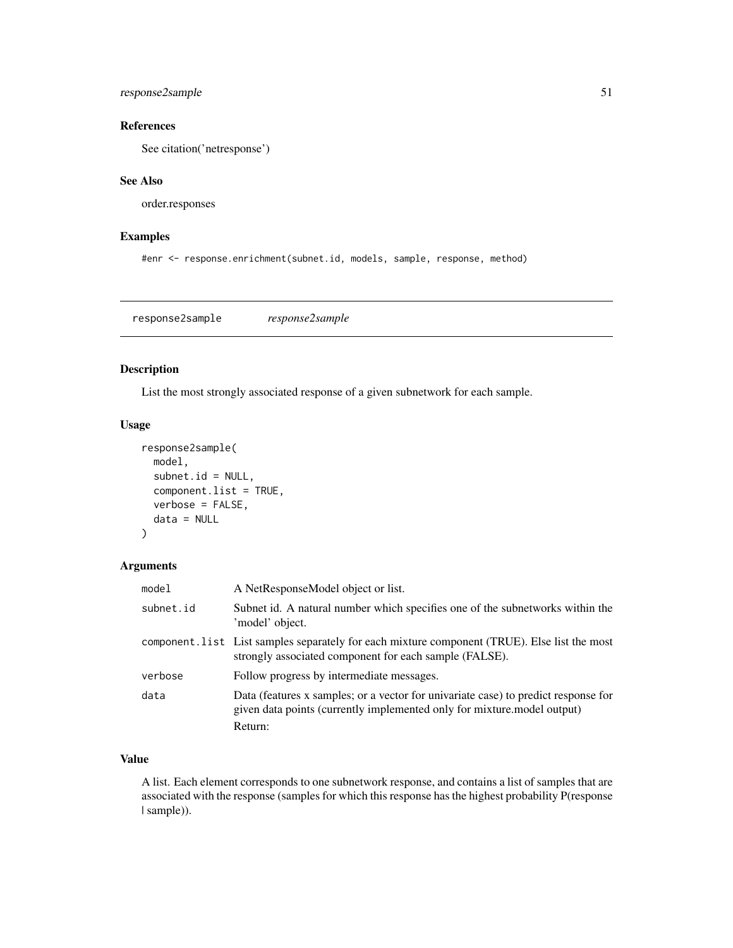### <span id="page-50-0"></span>response2sample 51

### References

See citation('netresponse')

### See Also

order.responses

### Examples

#enr <- response.enrichment(subnet.id, models, sample, response, method)

response2sample *response2sample*

### Description

List the most strongly associated response of a given subnetwork for each sample.

#### Usage

```
response2sample(
 model,
  subnet.id = NULL,component.list = TRUE,
 verbose = FALSE,
 data = NULL
)
```
### Arguments

| model     | A NetResponseModel object or list.                                                                                                                            |
|-----------|---------------------------------------------------------------------------------------------------------------------------------------------------------------|
| subnet.id | Subnet id. A natural number which specifies one of the subnetworks within the<br>'model' object.                                                              |
|           | component. List List samples separately for each mixture component (TRUE). Else list the most<br>strongly associated component for each sample (FALSE).       |
| verbose   | Follow progress by intermediate messages.                                                                                                                     |
| data      | Data (features x samples; or a vector for univariate case) to predict response for<br>given data points (currently implemented only for mixture model output) |
|           | Return:                                                                                                                                                       |

### Value

A list. Each element corresponds to one subnetwork response, and contains a list of samples that are associated with the response (samples for which this response has the highest probability P(response | sample)).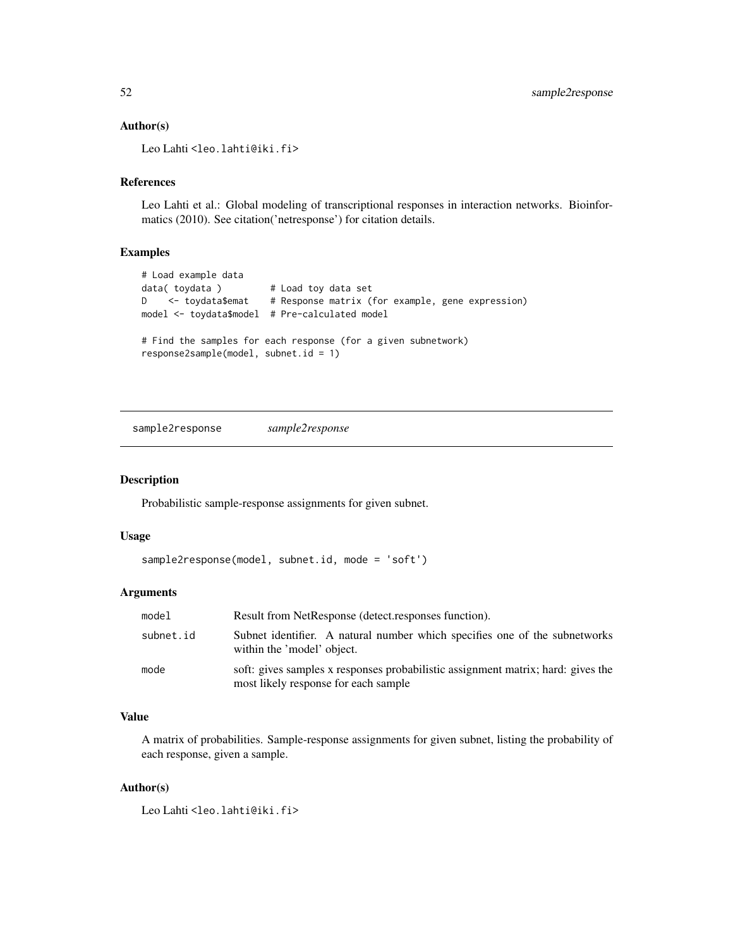#### <span id="page-51-0"></span>Author(s)

Leo Lahti <leo.lahti@iki.fi>

### References

Leo Lahti et al.: Global modeling of transcriptional responses in interaction networks. Bioinformatics (2010). See citation('netresponse') for citation details.

#### Examples

```
# Load example data
data( toydata ) # Load toy data set
D <- toydata$emat # Response matrix (for example, gene expression)
model <- toydata$model # Pre-calculated model
# Find the samples for each response (for a given subnetwork)
response2sample(model, subnet.id = 1)
```
sample2response *sample2response*

#### Description

Probabilistic sample-response assignments for given subnet.

#### Usage

```
sample2response(model, subnet.id, mode = 'soft')
```
#### Arguments

| model     | Result from NetResponse (detect.responses function).                                                                     |
|-----------|--------------------------------------------------------------------------------------------------------------------------|
| subnet.id | Subnet identifier. A natural number which specifies one of the subnetworks<br>within the 'model' object.                 |
| mode      | soft: gives samples x responses probabilistic assignment matrix; hard: gives the<br>most likely response for each sample |

### Value

A matrix of probabilities. Sample-response assignments for given subnet, listing the probability of each response, given a sample.

#### Author(s)

Leo Lahti<br/> <a>
Leo.lahti@iki.fi>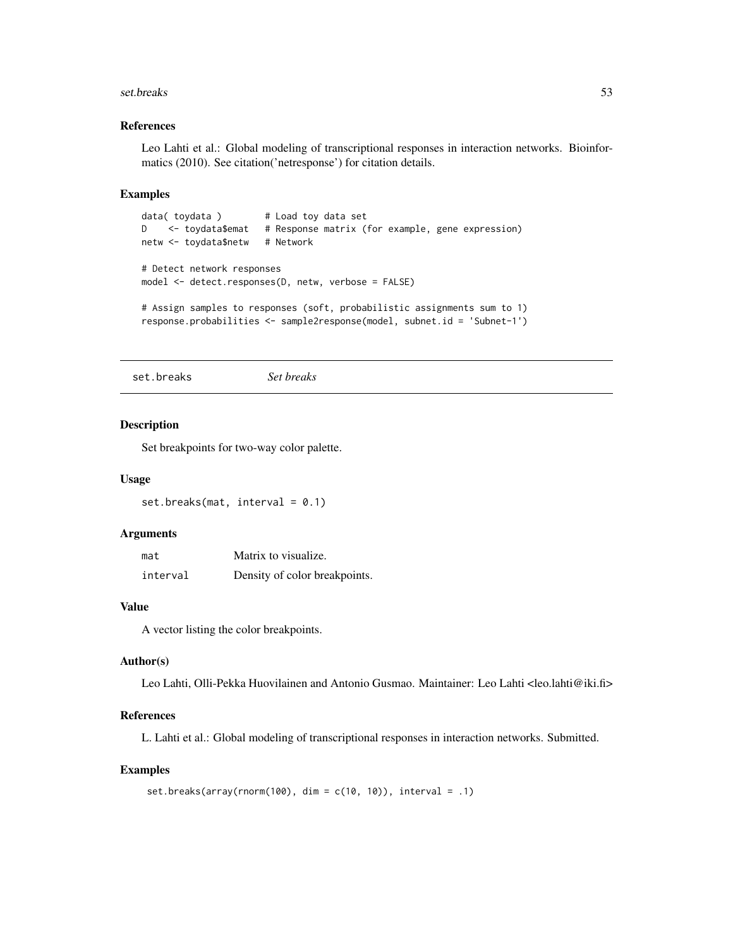#### <span id="page-52-0"></span>set.breaks 53

#### References

Leo Lahti et al.: Global modeling of transcriptional responses in interaction networks. Bioinformatics (2010). See citation('netresponse') for citation details.

#### Examples

```
data( toydata ) # Load toy data set
D <- toydata$emat # Response matrix (for example, gene expression)
netw <- toydata$netw # Network
# Detect network responses
model <- detect.responses(D, netw, verbose = FALSE)
# Assign samples to responses (soft, probabilistic assignments sum to 1)
response.probabilities <- sample2response(model, subnet.id = 'Subnet-1')
```
set.breaks *Set breaks*

#### Description

Set breakpoints for two-way color palette.

#### Usage

```
set.breaks(mat, interval = 0.1)
```
#### Arguments

| mat      | Matrix to visualize.          |
|----------|-------------------------------|
| interval | Density of color breakpoints. |

#### Value

A vector listing the color breakpoints.

#### Author(s)

Leo Lahti, Olli-Pekka Huovilainen and Antonio Gusmao. Maintainer: Leo Lahti <leo.lahti@iki.fi>

### References

L. Lahti et al.: Global modeling of transcriptional responses in interaction networks. Submitted.

#### Examples

```
set.breaks(array(rnorm(100), dim = c(10, 10)), interval = .1)
```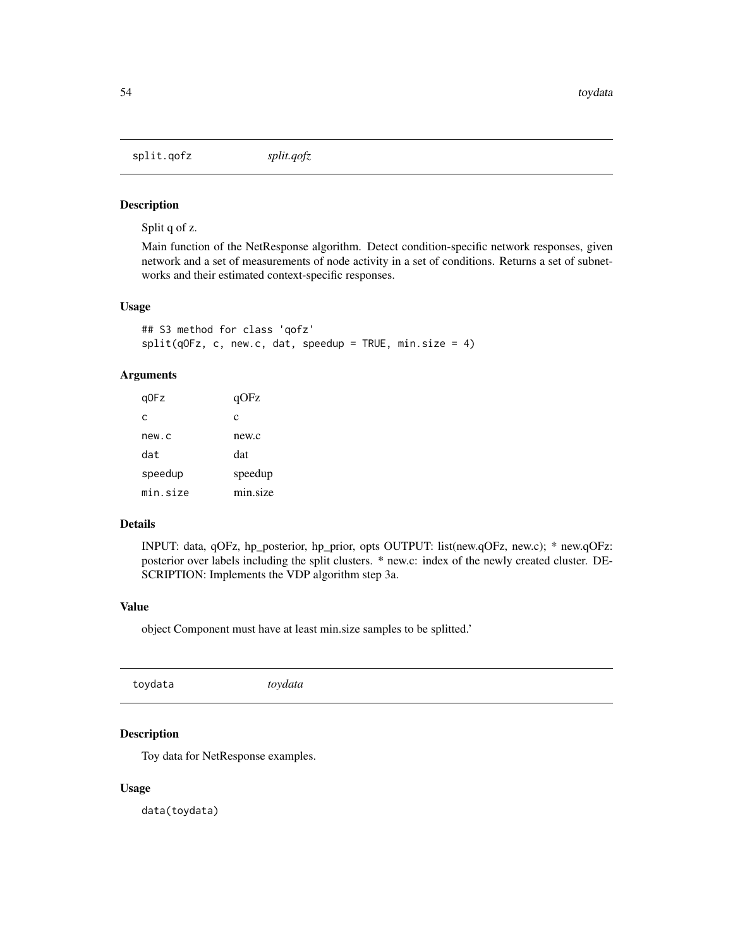<span id="page-53-0"></span>split.qofz *split.qofz*

#### Description

Split q of z.

Main function of the NetResponse algorithm. Detect condition-specific network responses, given network and a set of measurements of node activity in a set of conditions. Returns a set of subnetworks and their estimated context-specific responses.

#### Usage

```
## S3 method for class 'qofz'
split(q0Fz, c, new.c, dat, speedup = TRUE, min.size = 4)
```
### Arguments

| q0Fz     | qOFz     |
|----------|----------|
| C        | c        |
| new.c    | new.c    |
| dat      | dat      |
| speedup  | speedup  |
| min.size | min.size |

#### Details

INPUT: data, qOFz, hp\_posterior, hp\_prior, opts OUTPUT: list(new.qOFz, new.c); \* new.qOFz: posterior over labels including the split clusters. \* new.c: index of the newly created cluster. DE-SCRIPTION: Implements the VDP algorithm step 3a.

#### Value

object Component must have at least min.size samples to be splitted.'

### Description

Toy data for NetResponse examples.

#### Usage

data(toydata)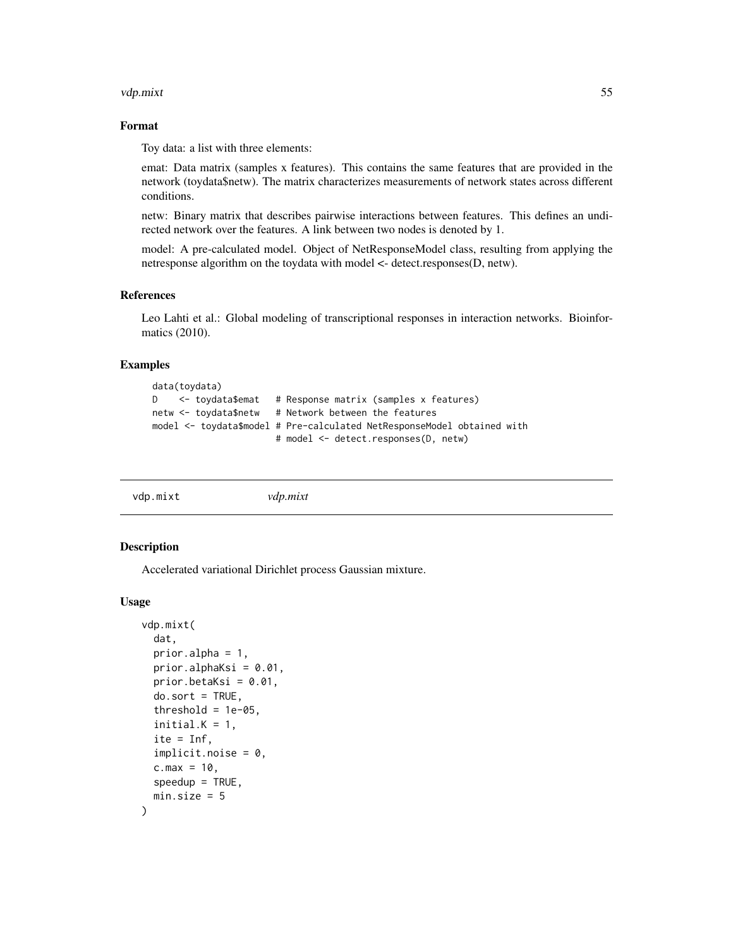#### <span id="page-54-0"></span>vdp.mixt 55

### Format

Toy data: a list with three elements:

emat: Data matrix (samples x features). This contains the same features that are provided in the network (toydata\$netw). The matrix characterizes measurements of network states across different conditions.

netw: Binary matrix that describes pairwise interactions between features. This defines an undirected network over the features. A link between two nodes is denoted by 1.

model: A pre-calculated model. Object of NetResponseModel class, resulting from applying the netresponse algorithm on the toydata with model <- detect.responses(D, netw).

#### References

Leo Lahti et al.: Global modeling of transcriptional responses in interaction networks. Bioinformatics (2010).

#### Examples

```
data(toydata)
D <- toydata$emat # Response matrix (samples x features)
netw <- toydata$netw # Network between the features
model <- toydata$model # Pre-calculated NetResponseModel obtained with
                      # model <- detect.responses(D, netw)
```

#### Description

Accelerated variational Dirichlet process Gaussian mixture.

#### Usage

```
vdp.mixt(
  dat,
  prior.alpha = 1,
 prior.alphaKsi = 0.01,
 prior.betaKsi = 0.01,
  do.sort = TRUE,threshold = 1e-05,
  initial.K = 1,ite = Inf,implicit.noise = 0,c.max = 10,
  speedup = TRUE,min.size = 5)
```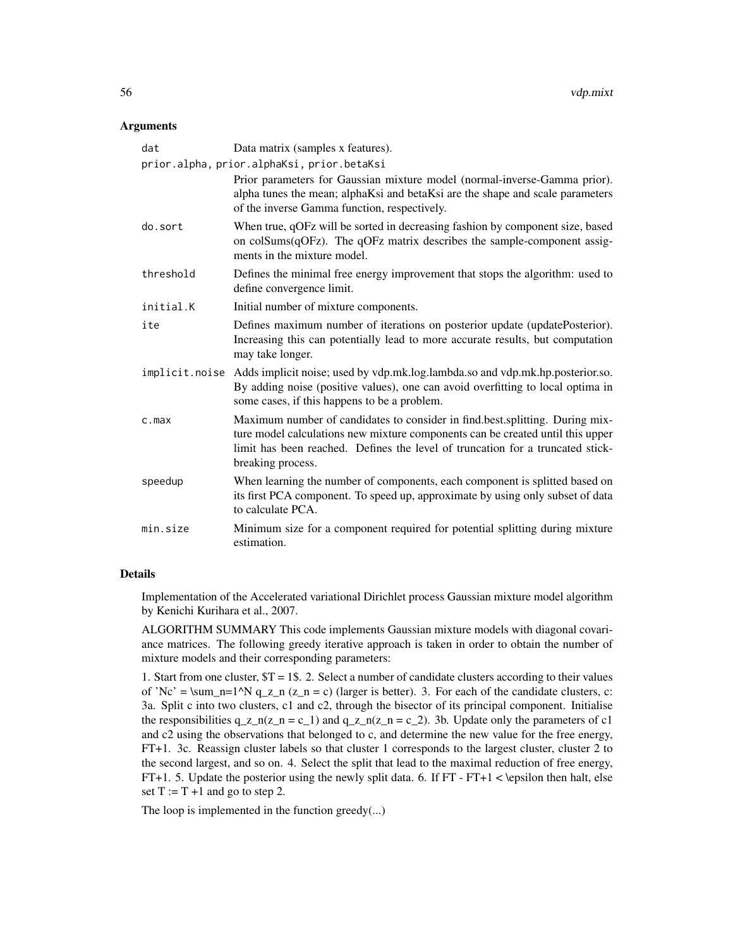#### **Arguments**

| dat       | Data matrix (samples x features).                                                                                                                                                                                                                                     |
|-----------|-----------------------------------------------------------------------------------------------------------------------------------------------------------------------------------------------------------------------------------------------------------------------|
|           | prior.alpha, prior.alphaKsi, prior.betaKsi                                                                                                                                                                                                                            |
|           | Prior parameters for Gaussian mixture model (normal-inverse-Gamma prior).<br>alpha tunes the mean; alphaKsi and betaKsi are the shape and scale parameters<br>of the inverse Gamma function, respectively.                                                            |
| do.sort   | When true, qOFz will be sorted in decreasing fashion by component size, based<br>on colSums(qOFz). The qOFz matrix describes the sample-component assig-<br>ments in the mixture model.                                                                               |
| threshold | Defines the minimal free energy improvement that stops the algorithm: used to<br>define convergence limit.                                                                                                                                                            |
| initial.K | Initial number of mixture components.                                                                                                                                                                                                                                 |
| ite       | Defines maximum number of iterations on posterior update (updatePosterior).<br>Increasing this can potentially lead to more accurate results, but computation<br>may take longer.                                                                                     |
|           | implicit.noise Adds implicit noise; used by vdp.mk.log.lambda.so and vdp.mk.hp.posterior.so.<br>By adding noise (positive values), one can avoid overfitting to local optima in<br>some cases, if this happens to be a problem.                                       |
| $c$ . max | Maximum number of candidates to consider in find.best.splitting. During mix-<br>ture model calculations new mixture components can be created until this upper<br>limit has been reached. Defines the level of truncation for a truncated stick-<br>breaking process. |
| speedup   | When learning the number of components, each component is splitted based on<br>its first PCA component. To speed up, approximate by using only subset of data<br>to calculate PCA.                                                                                    |
| min.size  | Minimum size for a component required for potential splitting during mixture<br>estimation.                                                                                                                                                                           |

#### Details

Implementation of the Accelerated variational Dirichlet process Gaussian mixture model algorithm by Kenichi Kurihara et al., 2007.

ALGORITHM SUMMARY This code implements Gaussian mixture models with diagonal covariance matrices. The following greedy iterative approach is taken in order to obtain the number of mixture models and their corresponding parameters:

1. Start from one cluster, \$T = 1\$. 2. Select a number of candidate clusters according to their values of 'Nc' =  $\sum_{n=1}^N q_z_n$  (z\_n = c) (larger is better). 3. For each of the candidate clusters, c: 3a. Split c into two clusters, c1 and c2, through the bisector of its principal component. Initialise the responsibilities  $q_z n(z_n = c_1)$  and  $q_z n(z_n = c_2)$ . 3b. Update only the parameters of c1 and c2 using the observations that belonged to c, and determine the new value for the free energy, FT+1. 3c. Reassign cluster labels so that cluster 1 corresponds to the largest cluster, cluster 2 to the second largest, and so on. 4. Select the split that lead to the maximal reduction of free energy, FT+1. 5. Update the posterior using the newly split data. 6. If  $FT$ - $FT+1$  < \epsilon then halt, else set  $T := T + 1$  and go to step 2.

The loop is implemented in the function greedy(...)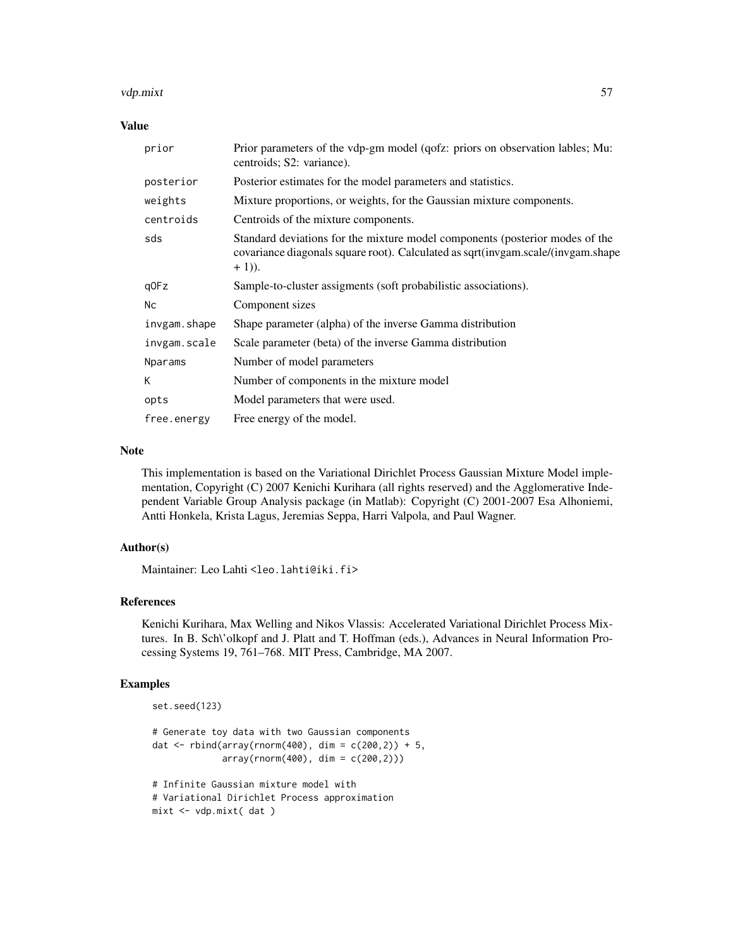#### vdp.mixt 57

#### Value

| prior        | Prior parameters of the vdp-gm model (qofz: priors on observation lables; Mu:<br>centroids; S2: variance).                                                                   |
|--------------|------------------------------------------------------------------------------------------------------------------------------------------------------------------------------|
| posterior    | Posterior estimates for the model parameters and statistics.                                                                                                                 |
| weights      | Mixture proportions, or weights, for the Gaussian mixture components.                                                                                                        |
| centroids    | Centroids of the mixture components.                                                                                                                                         |
| sds          | Standard deviations for the mixture model components (posterior modes of the<br>covariance diagonals square root). Calculated as sqrt(invgam.scale/(invgam.shape<br>$+1)$ ). |
| q0Fz         | Sample-to-cluster assigments (soft probabilistic associations).                                                                                                              |
| Nс           | Component sizes                                                                                                                                                              |
| invgam.shape | Shape parameter (alpha) of the inverse Gamma distribution                                                                                                                    |
| invgam.scale | Scale parameter (beta) of the inverse Gamma distribution                                                                                                                     |
| Nparams      | Number of model parameters                                                                                                                                                   |
| К            | Number of components in the mixture model                                                                                                                                    |
| opts         | Model parameters that were used.                                                                                                                                             |
| free.energy  | Free energy of the model.                                                                                                                                                    |

#### Note

This implementation is based on the Variational Dirichlet Process Gaussian Mixture Model implementation, Copyright (C) 2007 Kenichi Kurihara (all rights reserved) and the Agglomerative Independent Variable Group Analysis package (in Matlab): Copyright (C) 2001-2007 Esa Alhoniemi, Antti Honkela, Krista Lagus, Jeremias Seppa, Harri Valpola, and Paul Wagner.

### Author(s)

Maintainer: Leo Lahti <leo.lahti@iki.fi>

### References

Kenichi Kurihara, Max Welling and Nikos Vlassis: Accelerated Variational Dirichlet Process Mixtures. In B. Sch\'olkopf and J. Platt and T. Hoffman (eds.), Advances in Neural Information Processing Systems 19, 761–768. MIT Press, Cambridge, MA 2007.

#### Examples

```
set.seed(123)
```

```
# Generate toy data with two Gaussian components
dat <- rbind(array(rnorm(400), dim = c(200, 2)) + 5,
             array(rnorm(400), dim = c(200, 2)))
```

```
# Infinite Gaussian mixture model with
# Variational Dirichlet Process approximation
mixt <- vdp.mixt( dat )
```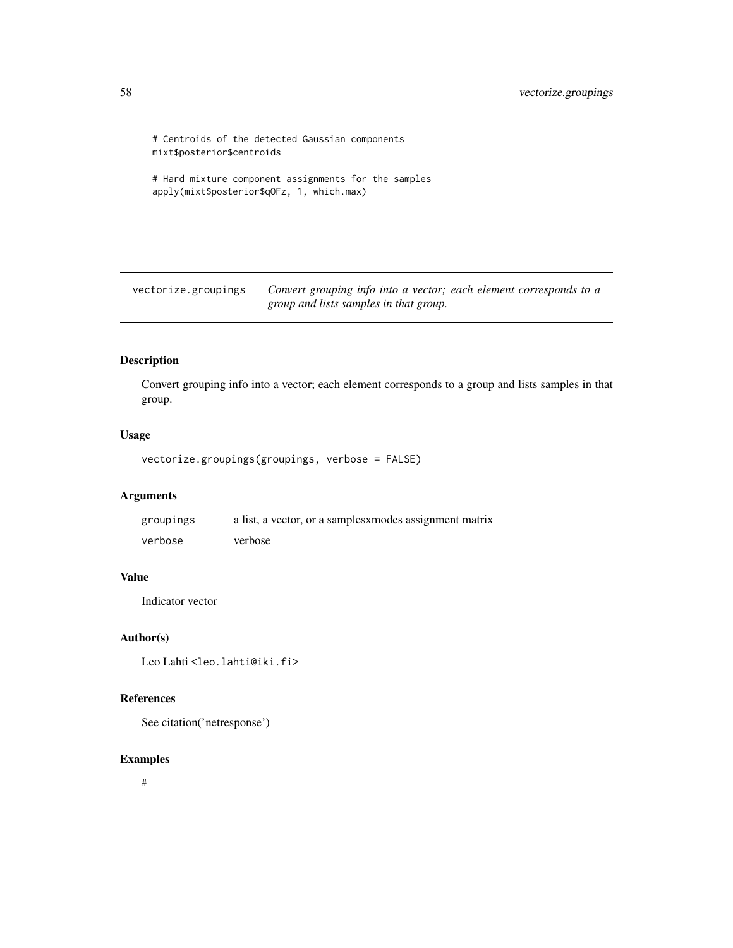```
# Centroids of the detected Gaussian components
mixt$posterior$centroids
# Hard mixture component assignments for the samples
```

```
apply(mixt$posterior$qOFz, 1, which.max)
```
vectorize.groupings *Convert grouping info into a vector; each element corresponds to a group and lists samples in that group.*

### Description

Convert grouping info into a vector; each element corresponds to a group and lists samples in that group.

### Usage

```
vectorize.groupings(groupings, verbose = FALSE)
```
### Arguments

| groupings | a list, a vector, or a samples <i>xmodes</i> assignment matrix |
|-----------|----------------------------------------------------------------|
| verbose   | verbose                                                        |

### Value

Indicator vector

#### Author(s)

Leo Lahti<br/> <a>
Leo.lahti@iki.fi>

### References

See citation('netresponse')

#### Examples

#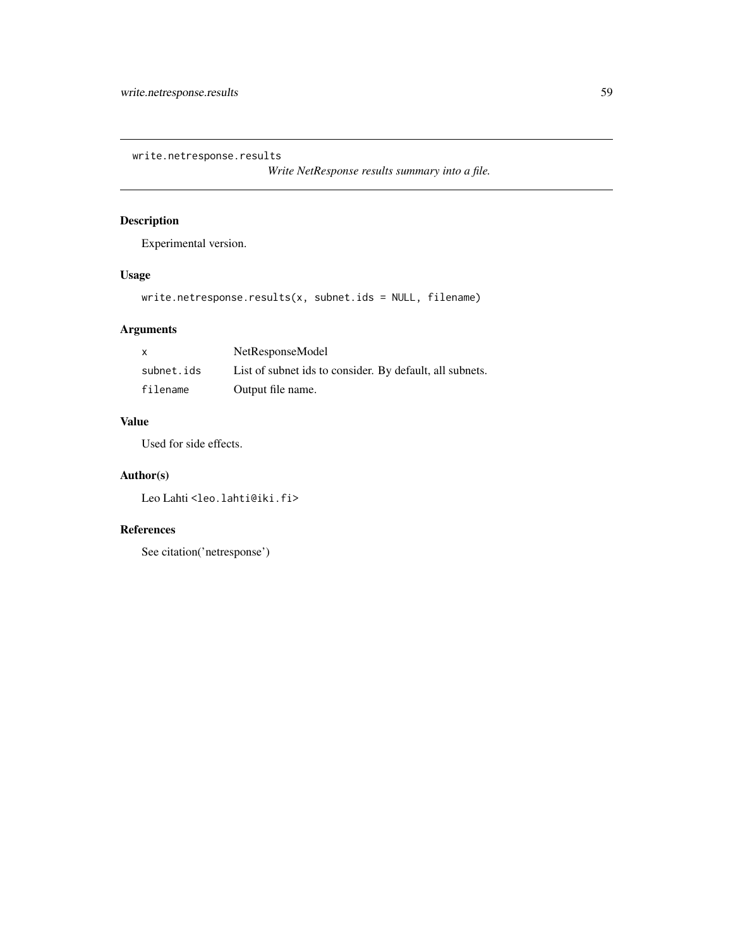<span id="page-58-0"></span>write.netresponse.results

*Write NetResponse results summary into a file.*

### Description

Experimental version.

### Usage

write.netresponse.results(x, subnet.ids = NULL, filename)

### Arguments

| X          | NetResponseModel                                         |
|------------|----------------------------------------------------------|
| subnet.ids | List of subnet ids to consider. By default, all subnets. |
| filename   | Output file name.                                        |

### Value

Used for side effects.

### Author(s)

Leo Lahti<br/> <a>
Leo.lahti@iki.fi>

### References

```
See citation('netresponse')
```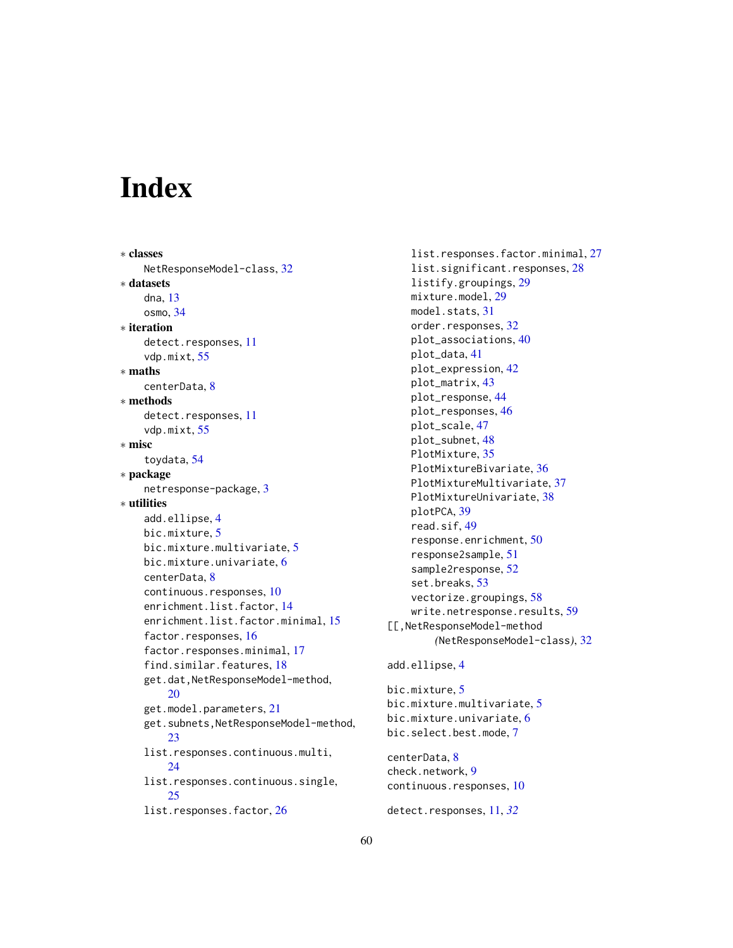# <span id="page-59-0"></span>**Index**

```
∗ classes
    NetResponseModel-class, 32
∗ datasets
    dna, 13
    osmo, 34
∗ iteration
    detect.responses, 11
    vdp.mixt, 55
∗ maths
    centerData, 8
∗ methods
    detect.responses, 11
    vdp.mixt, 55
∗ misc
    toydata, 54
∗ package
    netresponse-package, 3
∗ utilities
    add.ellipse, 4
    bic.mixture, 5
    bic.mixture.multivariate, 5
    bic.mixture.univariate, 6
    centerData, 8
    continuous.responses, 10
    enrichment.list.factor, 14
    enrichment.list.factor.minimal, 15
    factor.responses, 16
    factor.responses.minimal, 17
    find.similar.features, 18
    get.dat,NetResponseModel-method,
        20
    get.model.parameters, 21
    get.subnets,NetResponseModel-method,
        23
    list.responses.continuous.multi,
        24list.responses.continuous.single,
        25
    26
```
list.responses.factor.minimal, [27](#page-26-0) list.significant.responses, [28](#page-27-0) listify.groupings, [29](#page-28-0) mixture.model, [29](#page-28-0) model.stats, [31](#page-30-0) order.responses, [32](#page-31-0) plot\_associations, [40](#page-39-0) plot\_data, [41](#page-40-0) plot\_expression, [42](#page-41-0) plot\_matrix, [43](#page-42-0) plot\_response, [44](#page-43-0) plot\_responses, [46](#page-45-0) plot\_scale, [47](#page-46-0) plot\_subnet, [48](#page-47-0) PlotMixture, [35](#page-34-0) PlotMixtureBivariate, [36](#page-35-0) PlotMixtureMultivariate, [37](#page-36-0) PlotMixtureUnivariate, [38](#page-37-0) plotPCA, [39](#page-38-0) read.sif, [49](#page-48-0) response.enrichment, [50](#page-49-0) response2sample, [51](#page-50-0) sample2response, [52](#page-51-0) set.breaks, [53](#page-52-0) vectorize.groupings, [58](#page-57-0) write.netresponse.results, [59](#page-58-0) [[,NetResponseModel-method *(*NetResponseModel-class*)*, [32](#page-31-0) add.ellipse, [4](#page-3-0) bic.mixture, [5](#page-4-0) bic.mixture.multivariate, [5](#page-4-0) bic.mixture.univariate, [6](#page-5-0) bic.select.best.mode, [7](#page-6-0) centerData, [8](#page-7-0) check.network, [9](#page-8-0)

continuous.responses, [10](#page-9-0)

detect.responses, [11,](#page-10-0) *[32](#page-31-0)*